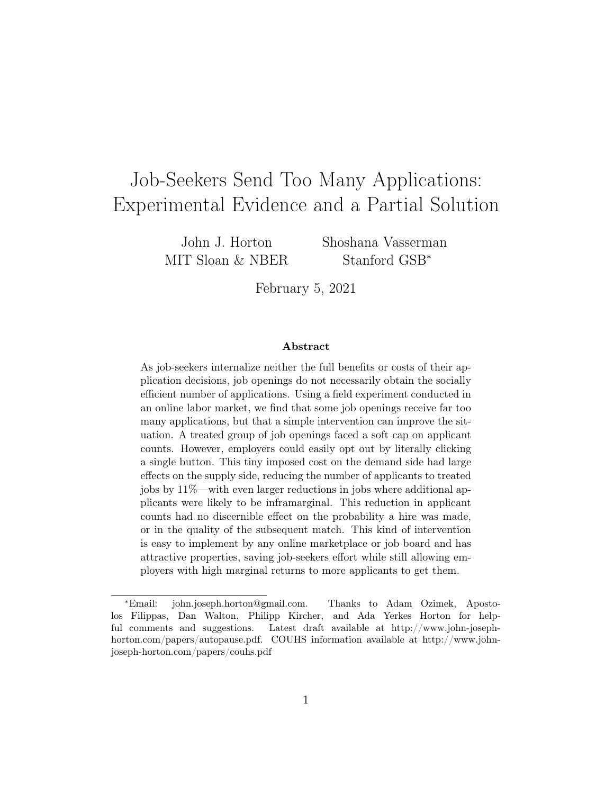# <span id="page-0-0"></span>Job-Seekers Send Too Many Applications: Experimental Evidence and a Partial Solution

John J. Horton MIT Sloan & NBER Shoshana Vasserman Stanford GSB<sup>∗</sup>

February 5, 2021

#### Abstract

As job-seekers internalize neither the full benefits or costs of their application decisions, job openings do not necessarily obtain the socially efficient number of applications. Using a field experiment conducted in an online labor market, we find that some job openings receive far too many applications, but that a simple intervention can improve the situation. A treated group of job openings faced a soft cap on applicant counts. However, employers could easily opt out by literally clicking a single button. This tiny imposed cost on the demand side had large effects on the supply side, reducing the number of applicants to treated jobs by 11%—with even larger reductions in jobs where additional applicants were likely to be inframarginal. This reduction in applicant counts had no discernible effect on the probability a hire was made, or in the quality of the subsequent match. This kind of intervention is easy to implement by any online marketplace or job board and has attractive properties, saving job-seekers effort while still allowing employers with high marginal returns to more applicants to get them.

<sup>∗</sup>Email: john.joseph.horton@gmail.com. Thanks to Adam Ozimek, Apostolos Filippas, Dan Walton, Philipp Kircher, and Ada Yerkes Horton for helpful comments and suggestions. Latest draft available at [http://www.john-joseph](http://www.john-joseph-horton.com/papers/autopause.pdf)[horton.com/papers/autopause.pdf.](http://www.john-joseph-horton.com/papers/autopause.pdf) COUHS information available at [http://www.john](http://www.john-joseph-horton.com/papers/autopause_couhs.pdf)[joseph-horton.com/papers/couhs.pdf](http://www.john-joseph-horton.com/papers/autopause_couhs.pdf)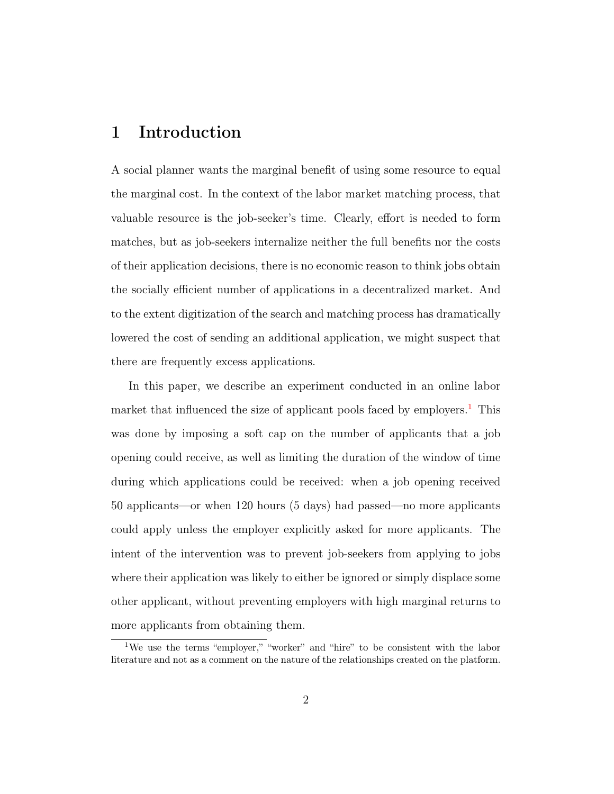## 1 Introduction

A social planner wants the marginal benefit of using some resource to equal the marginal cost. In the context of the labor market matching process, that valuable resource is the job-seeker's time. Clearly, effort is needed to form matches, but as job-seekers internalize neither the full benefits nor the costs of their application decisions, there is no economic reason to think jobs obtain the socially efficient number of applications in a decentralized market. And to the extent digitization of the search and matching process has dramatically lowered the cost of sending an additional application, we might suspect that there are frequently excess applications.

In this paper, we describe an experiment conducted in an online labor market that influenced the size of applicant pools faced by employers.<sup>[1](#page-0-0)</sup> This was done by imposing a soft cap on the number of applicants that a job opening could receive, as well as limiting the duration of the window of time during which applications could be received: when a job opening received 50 applicants—or when 120 hours (5 days) had passed—no more applicants could apply unless the employer explicitly asked for more applicants. The intent of the intervention was to prevent job-seekers from applying to jobs where their application was likely to either be ignored or simply displace some other applicant, without preventing employers with high marginal returns to more applicants from obtaining them.

<sup>1</sup>We use the terms "employer," "worker" and "hire" to be consistent with the labor literature and not as a comment on the nature of the relationships created on the platform.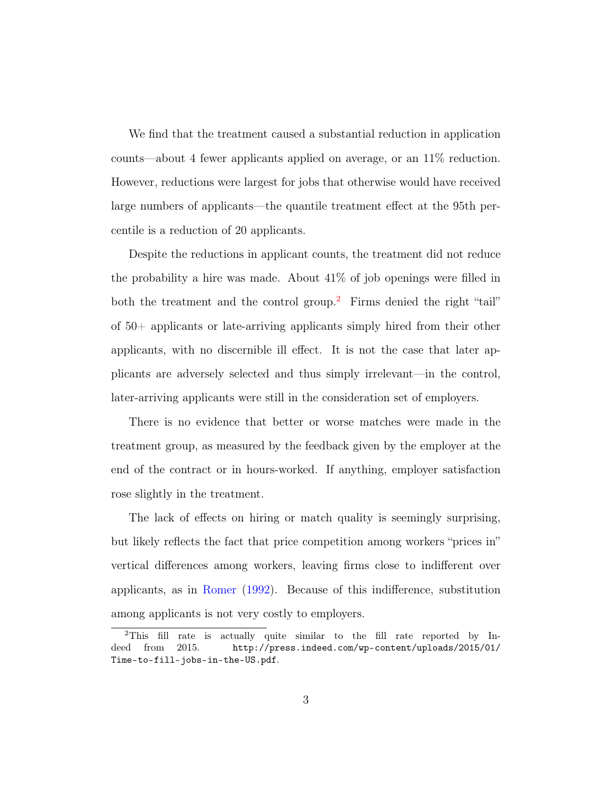We find that the treatment caused a substantial reduction in application counts—about 4 fewer applicants applied on average, or an 11% reduction. However, reductions were largest for jobs that otherwise would have received large numbers of applicants—the quantile treatment effect at the 95th percentile is a reduction of 20 applicants.

Despite the reductions in applicant counts, the treatment did not reduce the probability a hire was made. About 41% of job openings were filled in both the treatment and the control group.<sup>[2](#page-0-0)</sup> Firms denied the right "tail" of 50+ applicants or late-arriving applicants simply hired from their other applicants, with no discernible ill effect. It is not the case that later applicants are adversely selected and thus simply irrelevant—in the control, later-arriving applicants were still in the consideration set of employers.

There is no evidence that better or worse matches were made in the treatment group, as measured by the feedback given by the employer at the end of the contract or in hours-worked. If anything, employer satisfaction rose slightly in the treatment.

The lack of effects on hiring or match quality is seemingly surprising, but likely reflects the fact that price competition among workers "prices in" vertical differences among workers, leaving firms close to indifferent over applicants, as in [Romer](#page-33-0) [\(1992\)](#page-33-0). Because of this indifference, substitution among applicants is not very costly to employers.

<sup>&</sup>lt;sup>2</sup>This fill rate is actually quite similar to the fill rate reported by Indeed from 2015. [http://press.indeed.com/wp-content/uploads/2015/01/](http://press.indeed.com/wp-content/uploads/2015/01/Time-to-fill-jobs-in-the-US.pdf) [Time-to-fill-jobs-in-the-US.pdf](http://press.indeed.com/wp-content/uploads/2015/01/Time-to-fill-jobs-in-the-US.pdf).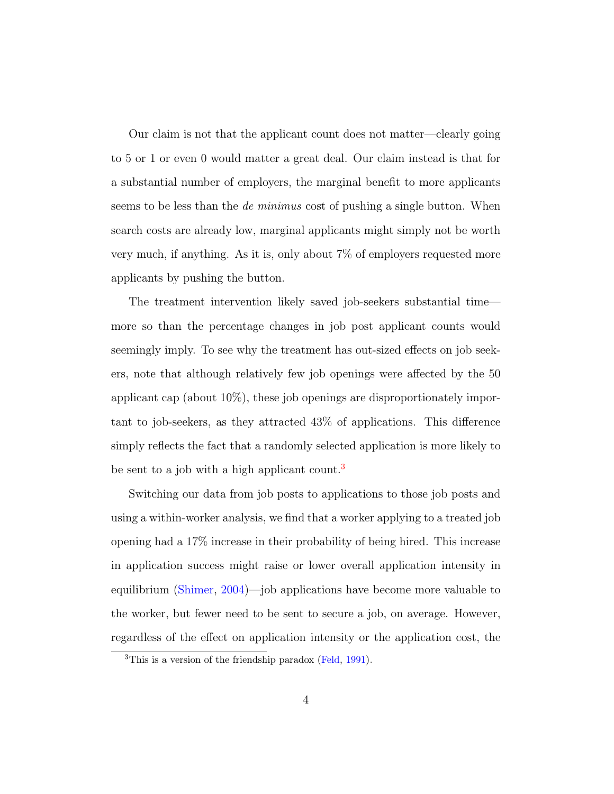Our claim is not that the applicant count does not matter—clearly going to 5 or 1 or even 0 would matter a great deal. Our claim instead is that for a substantial number of employers, the marginal benefit to more applicants seems to be less than the *de minimus* cost of pushing a single button. When search costs are already low, marginal applicants might simply not be worth very much, if anything. As it is, only about 7% of employers requested more applicants by pushing the button.

The treatment intervention likely saved job-seekers substantial time more so than the percentage changes in job post applicant counts would seemingly imply. To see why the treatment has out-sized effects on job seekers, note that although relatively few job openings were affected by the 50 applicant cap (about 10%), these job openings are disproportionately important to job-seekers, as they attracted 43% of applications. This difference simply reflects the fact that a randomly selected application is more likely to be sent to a job with a high applicant count.<sup>[3](#page-0-0)</sup>

Switching our data from job posts to applications to those job posts and using a within-worker analysis, we find that a worker applying to a treated job opening had a 17% increase in their probability of being hired. This increase in application success might raise or lower overall application intensity in equilibrium [\(Shimer,](#page-33-1) [2004\)](#page-33-1)—job applications have become more valuable to the worker, but fewer need to be sent to secure a job, on average. However, regardless of the effect on application intensity or the application cost, the

<sup>&</sup>lt;sup>3</sup>This is a version of the friendship paradox [\(Feld,](#page-30-0) [1991\)](#page-30-0).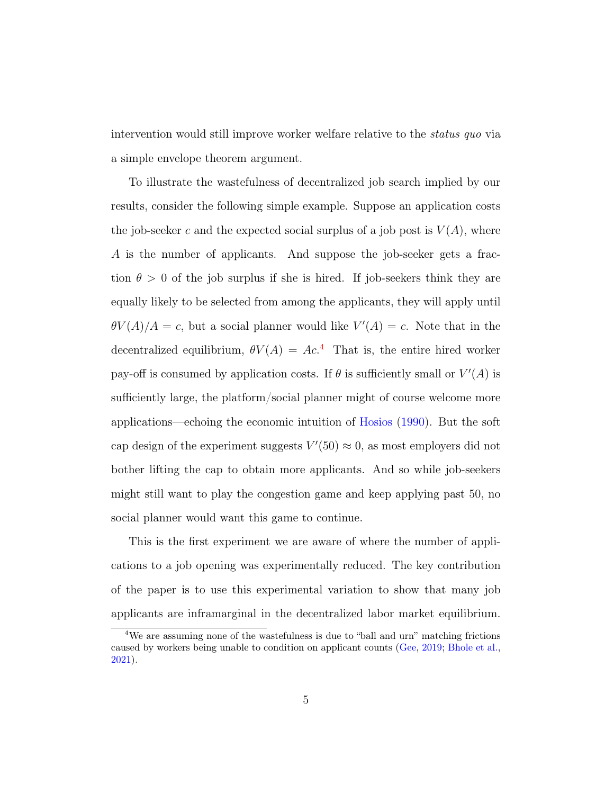intervention would still improve worker welfare relative to the status quo via a simple envelope theorem argument.

To illustrate the wastefulness of decentralized job search implied by our results, consider the following simple example. Suppose an application costs the job-seeker c and the expected social surplus of a job post is  $V(A)$ , where A is the number of applicants. And suppose the job-seeker gets a fraction  $\theta > 0$  of the job surplus if she is hired. If job-seekers think they are equally likely to be selected from among the applicants, they will apply until  $\theta V(A)/A = c$ , but a social planner would like  $V'(A) = c$ . Note that in the decentralized equilibrium,  $\theta V(A) = Ac^4$  $\theta V(A) = Ac^4$  That is, the entire hired worker pay-off is consumed by application costs. If  $\theta$  is sufficiently small or  $V'(A)$  is sufficiently large, the platform/social planner might of course welcome more applications—echoing the economic intuition of [Hosios](#page-31-0) [\(1990\)](#page-31-0). But the soft cap design of the experiment suggests  $V'(50) \approx 0$ , as most employers did not bother lifting the cap to obtain more applicants. And so while job-seekers might still want to play the congestion game and keep applying past 50, no social planner would want this game to continue.

This is the first experiment we are aware of where the number of applications to a job opening was experimentally reduced. The key contribution of the paper is to use this experimental variation to show that many job applicants are inframarginal in the decentralized labor market equilibrium.

<sup>&</sup>lt;sup>4</sup>We are assuming none of the wastefulness is due to "ball and urn" matching frictions caused by workers being unable to condition on applicant counts [\(Gee,](#page-30-1) [2019;](#page-30-1) [Bhole et al.,](#page-29-0) [2021\)](#page-29-0).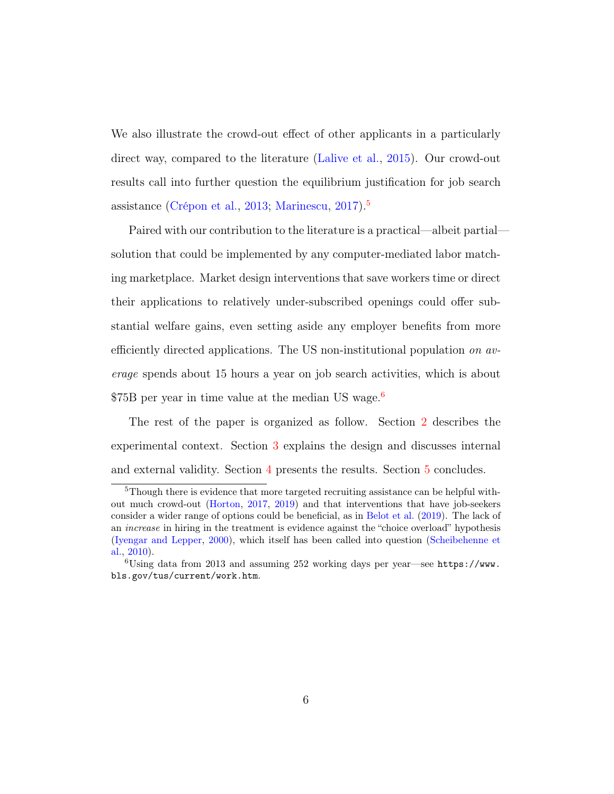We also illustrate the crowd-out effect of other applicants in a particularly direct way, compared to the literature [\(Lalive et al.,](#page-32-0) [2015\)](#page-32-0). Our crowd-out results call into further question the equilibrium justification for job search assistance [\(Crépon et al.,](#page-29-1) [2013;](#page-29-1) [Marinescu,](#page-32-1) [2017\)](#page-32-1).[5](#page-0-0)

Paired with our contribution to the literature is a practical—albeit partial solution that could be implemented by any computer-mediated labor matching marketplace. Market design interventions that save workers time or direct their applications to relatively under-subscribed openings could offer substantial welfare gains, even setting aside any employer benefits from more efficiently directed applications. The US non-institutional population on average spends about 15 hours a year on job search activities, which is about \$75B per year in time value at the median US wage.<sup>[6](#page-0-0)</sup>

The rest of the paper is organized as follow. Section [2](#page-6-0) describes the experimental context. Section [3](#page-8-0) explains the design and discusses internal and external validity. Section [4](#page-9-0) presents the results. Section [5](#page-27-0) concludes.

<sup>&</sup>lt;sup>5</sup>Though there is evidence that more targeted recruiting assistance can be helpful without much crowd-out [\(Horton,](#page-31-1) [2017,](#page-31-1) [2019\)](#page-31-2) and that interventions that have job-seekers consider a wider range of options could be beneficial, as in [Belot et al.](#page-29-2) [\(2019\)](#page-29-2). The lack of an increase in hiring in the treatment is evidence against the "choice overload" hypothesis [\(Iyengar and Lepper,](#page-31-3) [2000\)](#page-31-3), which itself has been called into question [\(Scheibehenne et](#page-33-2) [al.,](#page-33-2) [2010\)](#page-33-2).

 $6$ Using data from 2013 and assuming 252 working days per year—see [https://www.](https://www.bls.gov/tus/current/work.htm) [bls.gov/tus/current/work.htm](https://www.bls.gov/tus/current/work.htm).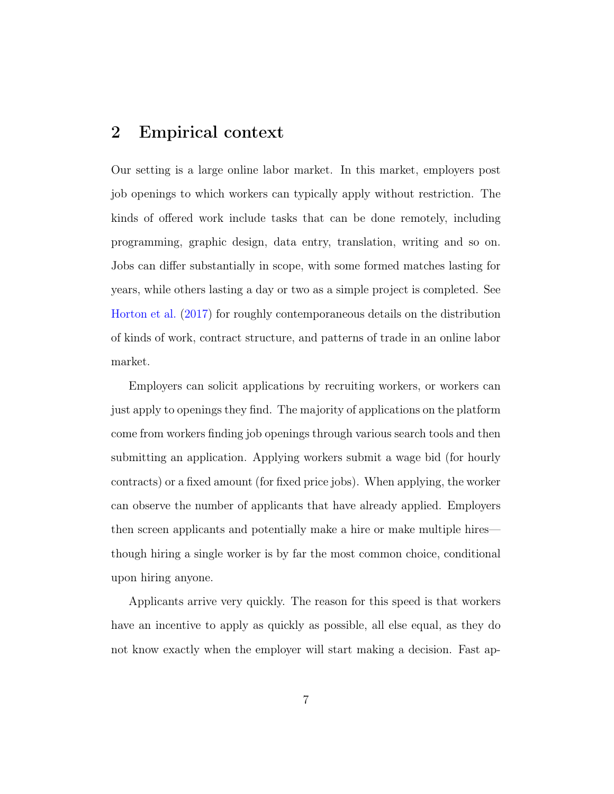## <span id="page-6-0"></span>2 Empirical context

Our setting is a large online labor market. In this market, employers post job openings to which workers can typically apply without restriction. The kinds of offered work include tasks that can be done remotely, including programming, graphic design, data entry, translation, writing and so on. Jobs can differ substantially in scope, with some formed matches lasting for years, while others lasting a day or two as a simple project is completed. See [Horton et al.](#page-31-4) [\(2017\)](#page-31-4) for roughly contemporaneous details on the distribution of kinds of work, contract structure, and patterns of trade in an online labor market.

Employers can solicit applications by recruiting workers, or workers can just apply to openings they find. The majority of applications on the platform come from workers finding job openings through various search tools and then submitting an application. Applying workers submit a wage bid (for hourly contracts) or a fixed amount (for fixed price jobs). When applying, the worker can observe the number of applicants that have already applied. Employers then screen applicants and potentially make a hire or make multiple hires though hiring a single worker is by far the most common choice, conditional upon hiring anyone.

Applicants arrive very quickly. The reason for this speed is that workers have an incentive to apply as quickly as possible, all else equal, as they do not know exactly when the employer will start making a decision. Fast ap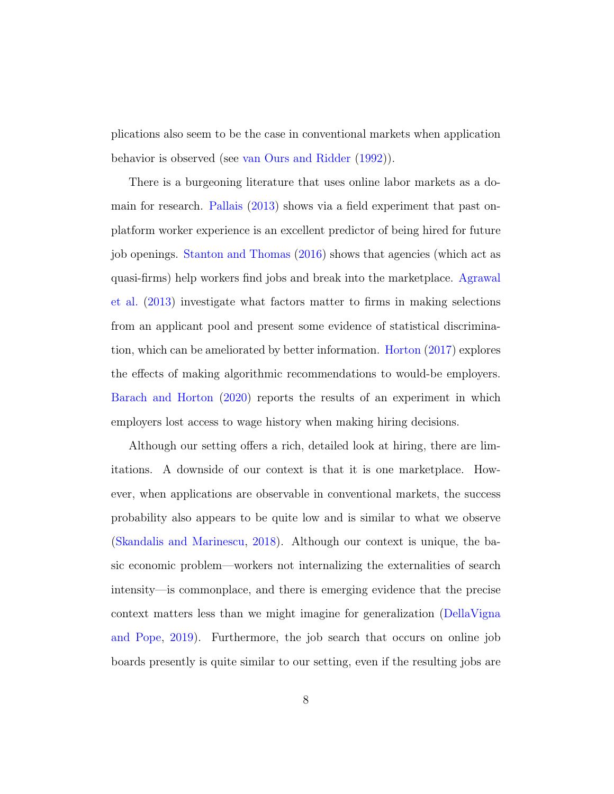plications also seem to be the case in conventional markets when application behavior is observed (see [van Ours and Ridder](#page-33-3) [\(1992\)](#page-33-3)).

There is a burgeoning literature that uses online labor markets as a domain for research. [Pallais](#page-32-2) [\(2013\)](#page-32-2) shows via a field experiment that past onplatform worker experience is an excellent predictor of being hired for future job openings. [Stanton and Thomas](#page-33-4) [\(2016\)](#page-33-4) shows that agencies (which act as quasi-firms) help workers find jobs and break into the marketplace. [Agrawal](#page-29-3) [et al.](#page-29-3) [\(2013\)](#page-29-3) investigate what factors matter to firms in making selections from an applicant pool and present some evidence of statistical discrimination, which can be ameliorated by better information. [Horton](#page-31-1) [\(2017\)](#page-31-1) explores the effects of making algorithmic recommendations to would-be employers. [Barach and Horton](#page-29-4) [\(2020\)](#page-29-4) reports the results of an experiment in which employers lost access to wage history when making hiring decisions.

Although our setting offers a rich, detailed look at hiring, there are limitations. A downside of our context is that it is one marketplace. However, when applications are observable in conventional markets, the success probability also appears to be quite low and is similar to what we observe [\(Skandalis and Marinescu,](#page-33-5) [2018\)](#page-33-5). Although our context is unique, the basic economic problem—workers not internalizing the externalities of search intensity—is commonplace, and there is emerging evidence that the precise context matters less than we might imagine for generalization [\(DellaVigna](#page-30-2) [and Pope,](#page-30-2) [2019\)](#page-30-2). Furthermore, the job search that occurs on online job boards presently is quite similar to our setting, even if the resulting jobs are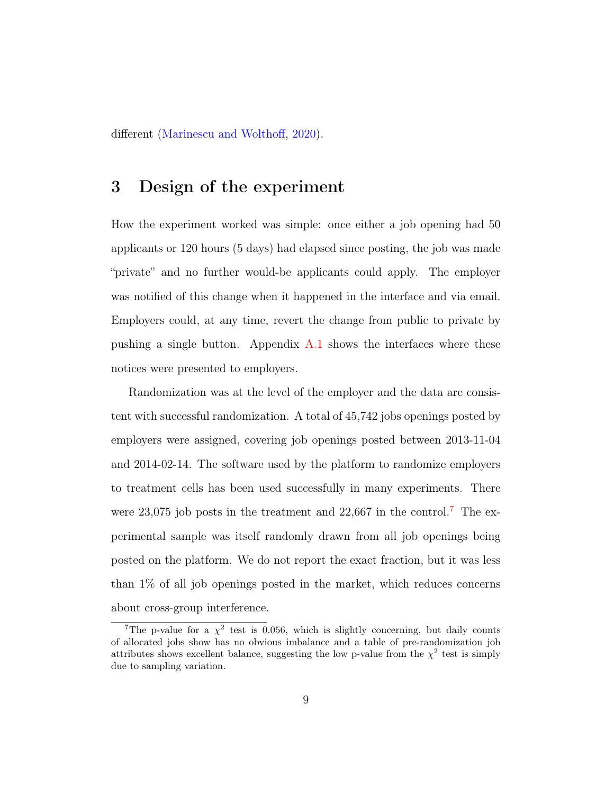different [\(Marinescu and Wolthoff,](#page-32-3) [2020\)](#page-32-3).

## <span id="page-8-0"></span>3 Design of the experiment

How the experiment worked was simple: once either a job opening had 50 applicants or 120 hours (5 days) had elapsed since posting, the job was made "private" and no further would-be applicants could apply. The employer was notified of this change when it happened in the interface and via email. Employers could, at any time, revert the change from public to private by pushing a single button. Appendix  $A.1$  shows the interfaces where these notices were presented to employers.

Randomization was at the level of the employer and the data are consistent with successful randomization. A total of 45,742 jobs openings posted by employers were assigned, covering job openings posted between 2013-11-04 and 2014-02-14. The software used by the platform to randomize employers to treatment cells has been used successfully in many experiments. There were  $23,075$  $23,075$  $23,075$  job posts in the treatment and  $22,667$  in the control.<sup>7</sup> The experimental sample was itself randomly drawn from all job openings being posted on the platform. We do not report the exact fraction, but it was less than 1% of all job openings posted in the market, which reduces concerns about cross-group interference.

<sup>&</sup>lt;sup>7</sup>The p-value for a  $\chi^2$  test is 0.056, which is slightly concerning, but daily counts of allocated jobs show has no obvious imbalance and a table of pre-randomization job attributes shows excellent balance, suggesting the low p-value from the  $\chi^2$  test is simply due to sampling variation.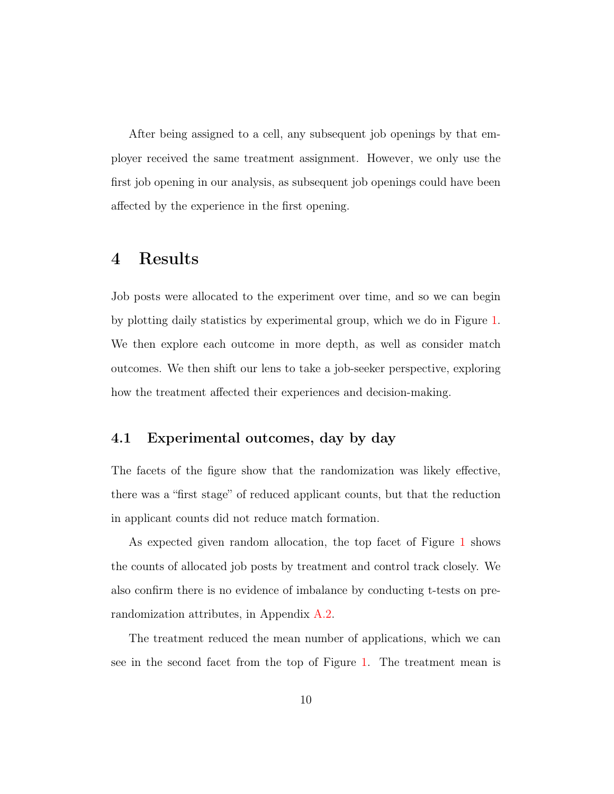After being assigned to a cell, any subsequent job openings by that employer received the same treatment assignment. However, we only use the first job opening in our analysis, as subsequent job openings could have been affected by the experience in the first opening.

## <span id="page-9-0"></span>4 Results

Job posts were allocated to the experiment over time, and so we can begin by plotting daily statistics by experimental group, which we do in Figure [1.](#page-10-0) We then explore each outcome in more depth, as well as consider match outcomes. We then shift our lens to take a job-seeker perspective, exploring how the treatment affected their experiences and decision-making.

#### 4.1 Experimental outcomes, day by day

The facets of the figure show that the randomization was likely effective, there was a "first stage" of reduced applicant counts, but that the reduction in applicant counts did not reduce match formation.

As expected given random allocation, the top facet of Figure [1](#page-10-0) shows the counts of allocated job posts by treatment and control track closely. We also confirm there is no evidence of imbalance by conducting t-tests on prerandomization attributes, in Appendix [A.2.](#page-35-0)

The treatment reduced the mean number of applications, which we can see in the second facet from the top of Figure [1.](#page-10-0) The treatment mean is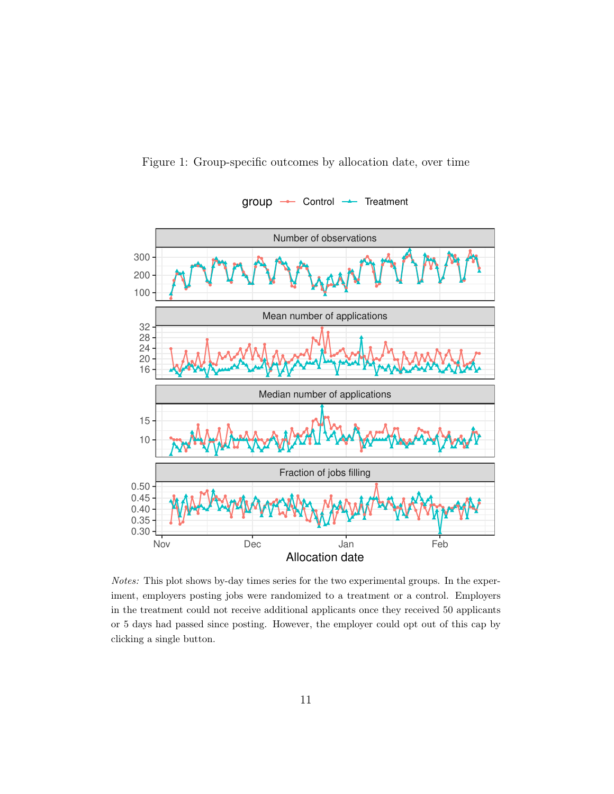<span id="page-10-0"></span>



Notes: This plot shows by-day times series for the two experimental groups. In the experiment, employers posting jobs were randomized to a treatment or a control. Employers in the treatment could not receive additional applicants once they received 50 applicants or 5 days had passed since posting. However, the employer could opt out of this cap by clicking a single button.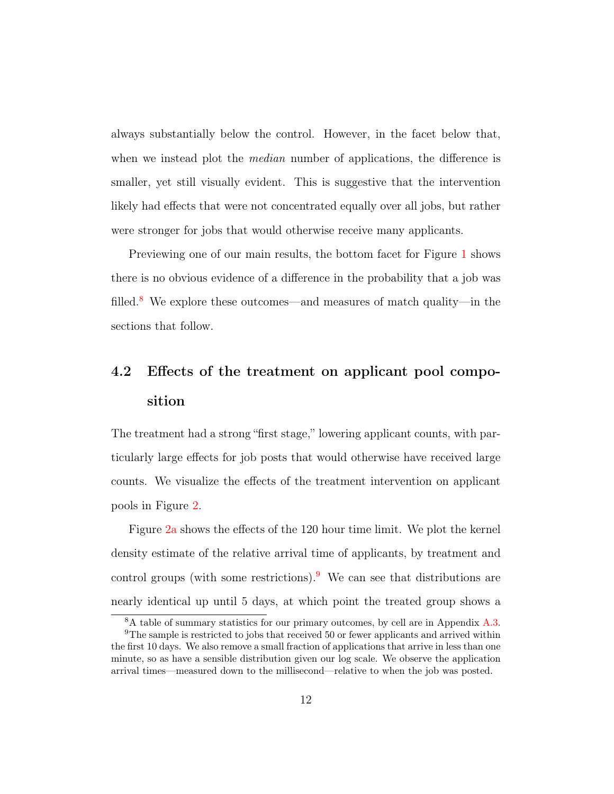always substantially below the control. However, in the facet below that, when we instead plot the *median* number of applications, the difference is smaller, yet still visually evident. This is suggestive that the intervention likely had effects that were not concentrated equally over all jobs, but rather were stronger for jobs that would otherwise receive many applicants.

Previewing one of our main results, the bottom facet for Figure [1](#page-10-0) shows there is no obvious evidence of a difference in the probability that a job was filled.<sup>[8](#page-0-0)</sup> We explore these outcomes—and measures of match quality—in the sections that follow.

# 4.2 Effects of the treatment on applicant pool composition

The treatment had a strong "first stage," lowering applicant counts, with particularly large effects for job posts that would otherwise have received large counts. We visualize the effects of the treatment intervention on applicant pools in Figure [2.](#page-13-0)

Figure [2a](#page-13-0) shows the effects of the 120 hour time limit. We plot the kernel density estimate of the relative arrival time of applicants, by treatment and control groups (with some restrictions).<sup>[9](#page-0-0)</sup> We can see that distributions are nearly identical up until 5 days, at which point the treated group shows a

<sup>8</sup>A table of summary statistics for our primary outcomes, by cell are in Appendix [A.3.](#page-37-0) <sup>9</sup>The sample is restricted to jobs that received 50 or fewer applicants and arrived within the first 10 days. We also remove a small fraction of applications that arrive in less than one

minute, so as have a sensible distribution given our log scale. We observe the application arrival times—measured down to the millisecond—relative to when the job was posted.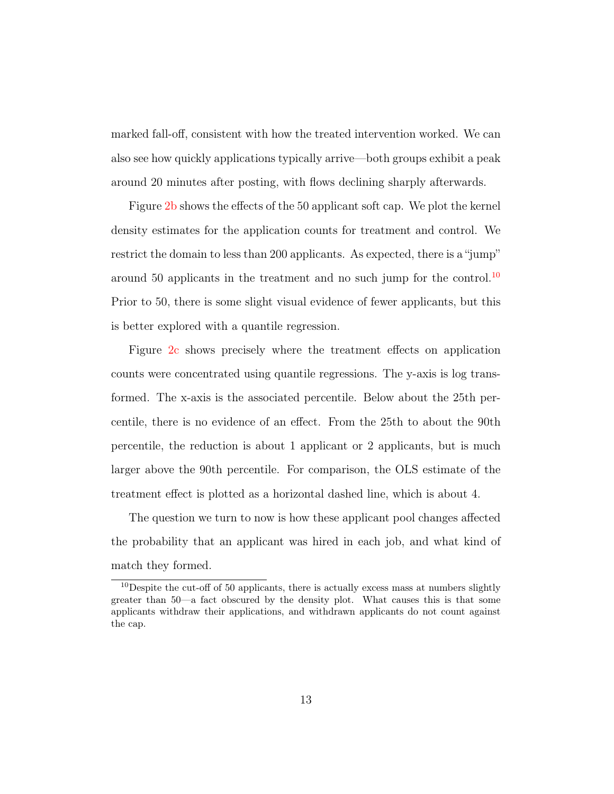marked fall-off, consistent with how the treated intervention worked. We can also see how quickly applications typically arrive—both groups exhibit a peak around 20 minutes after posting, with flows declining sharply afterwards.

Figure [2b](#page-13-0) shows the effects of the 50 applicant soft cap. We plot the kernel density estimates for the application counts for treatment and control. We restrict the domain to less than 200 applicants. As expected, there is a "jump" around 50 applicants in the treatment and no such jump for the control.<sup>[10](#page-0-0)</sup> Prior to 50, there is some slight visual evidence of fewer applicants, but this is better explored with a quantile regression.

Figure [2c](#page-13-0) shows precisely where the treatment effects on application counts were concentrated using quantile regressions. The y-axis is log transformed. The x-axis is the associated percentile. Below about the 25th percentile, there is no evidence of an effect. From the 25th to about the 90th percentile, the reduction is about 1 applicant or 2 applicants, but is much larger above the 90th percentile. For comparison, the OLS estimate of the treatment effect is plotted as a horizontal dashed line, which is about 4.

The question we turn to now is how these applicant pool changes affected the probability that an applicant was hired in each job, and what kind of match they formed.

 $10$  Despite the cut-off of 50 applicants, there is actually excess mass at numbers slightly greater than 50—a fact obscured by the density plot. What causes this is that some applicants withdraw their applications, and withdrawn applicants do not count against the cap.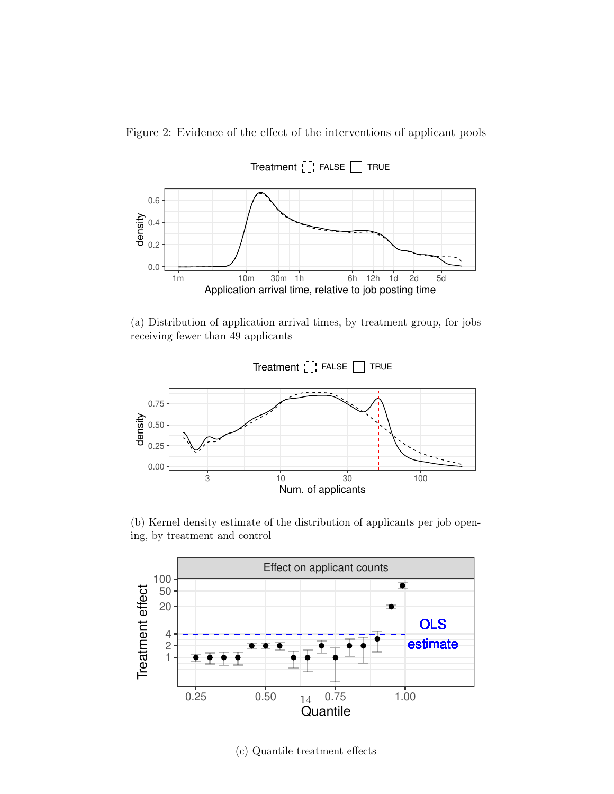<span id="page-13-0"></span>Figure 2: Evidence of the effect of the interventions of applicant pools



(a) Distribution of application arrival times, by treatment group, for jobs receiving fewer than 49 applicants



(b) Kernel density estimate of the distribution of applicants per job opening, by treatment and control



(c) Quantile treatment effects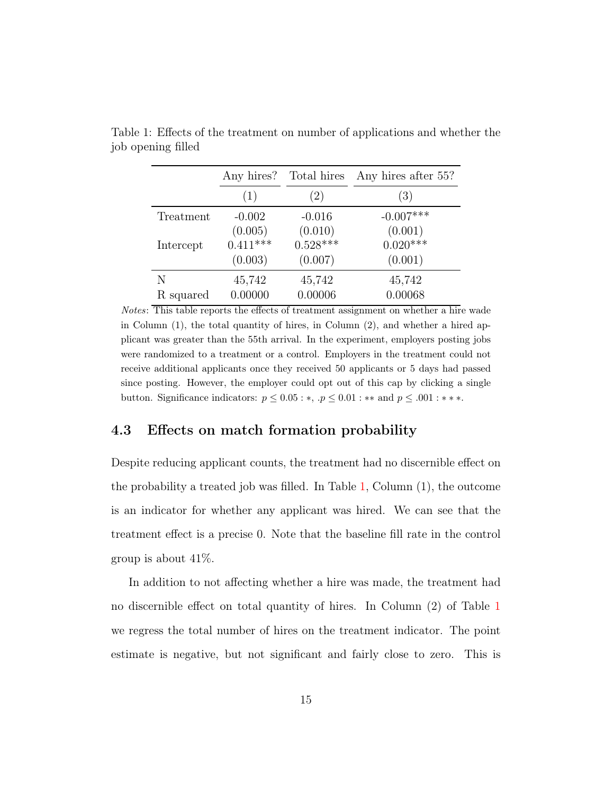|           | Any hires? | Total hires | Any hires after 55? |
|-----------|------------|-------------|---------------------|
|           | (1)        | (2)         | (3)                 |
| Treatment | $-0.002$   | $-0.016$    | $-0.007***$         |
|           | (0.005)    | (0.010)     | (0.001)             |
| Intercept | $0.411***$ | $0.528***$  | $0.020***$          |
|           | (0.003)    | (0.007)     | (0.001)             |
| N         | 45,742     | 45,742      | 45,742              |
| R squared | 0.00000    | 0.00006     | 0.00068             |

<span id="page-14-0"></span>Table 1: Effects of the treatment on number of applications and whether the job opening filled

Notes: This table reports the effects of treatment assignment on whether a hire wade in Column (1), the total quantity of hires, in Column (2), and whether a hired applicant was greater than the 55th arrival. In the experiment, employers posting jobs were randomized to a treatment or a control. Employers in the treatment could not receive additional applicants once they received 50 applicants or 5 days had passed since posting. However, the employer could opt out of this cap by clicking a single button. Significance indicators:  $p \leq 0.05$ : \*,  $p \leq 0.01$ : \*\* and  $p \leq .001$ : \*\*\*.

#### 4.3 Effects on match formation probability

Despite reducing applicant counts, the treatment had no discernible effect on the probability a treated job was filled. In Table [1,](#page-14-0) Column (1), the outcome is an indicator for whether any applicant was hired. We can see that the treatment effect is a precise 0. Note that the baseline fill rate in the control group is about 41%.

In addition to not affecting whether a hire was made, the treatment had no discernible effect on total quantity of hires. In Column (2) of Table [1](#page-14-0) we regress the total number of hires on the treatment indicator. The point estimate is negative, but not significant and fairly close to zero. This is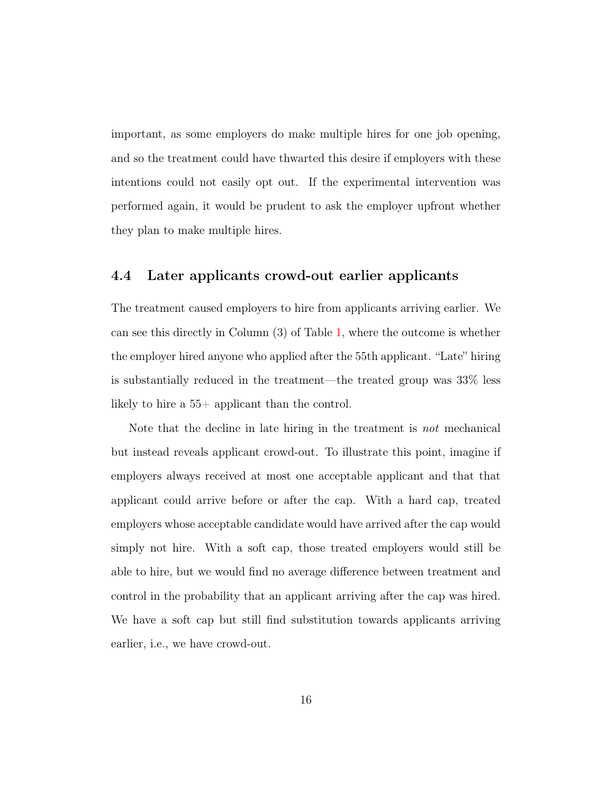important, as some employers do make multiple hires for one job opening, and so the treatment could have thwarted this desire if employers with these intentions could not easily opt out. If the experimental intervention was performed again, it would be prudent to ask the employer upfront whether they plan to make multiple hires.

#### 4.4 Later applicants crowd-out earlier applicants

The treatment caused employers to hire from applicants arriving earlier. We can see this directly in Column (3) of Table [1,](#page-14-0) where the outcome is whether the employer hired anyone who applied after the 55th applicant. "Late" hiring is substantially reduced in the treatment—the treated group was 33% less likely to hire a 55+ applicant than the control.

Note that the decline in late hiring in the treatment is not mechanical but instead reveals applicant crowd-out. To illustrate this point, imagine if employers always received at most one acceptable applicant and that that applicant could arrive before or after the cap. With a hard cap, treated employers whose acceptable candidate would have arrived after the cap would simply not hire. With a soft cap, those treated employers would still be able to hire, but we would find no average difference between treatment and control in the probability that an applicant arriving after the cap was hired. We have a soft cap but still find substitution towards applicants arriving earlier, i.e., we have crowd-out.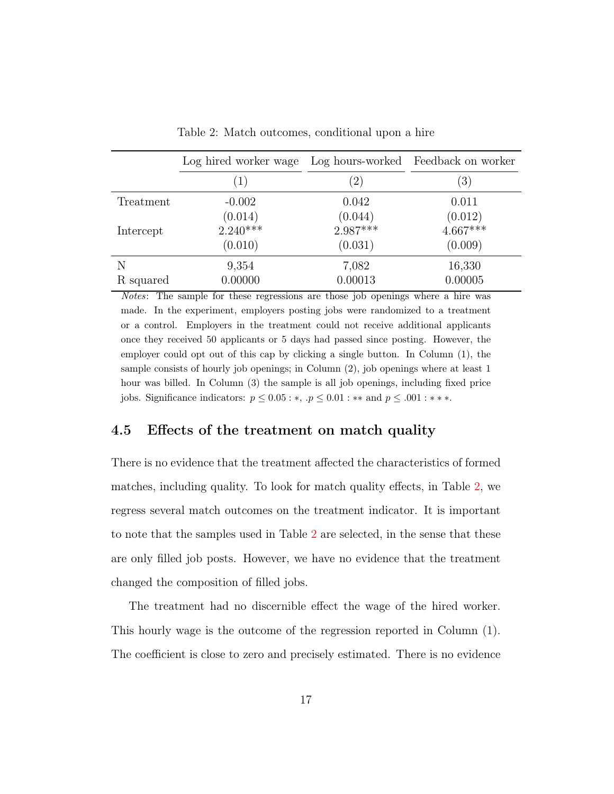<span id="page-16-0"></span>

|           | Log hired worker wage Log hours-worked Feedback on worker |                       |                       |  |  |
|-----------|-----------------------------------------------------------|-----------------------|-----------------------|--|--|
|           | $\left(1\right)$                                          | (2)                   | $\left(3\right)$      |  |  |
| Treatment | $-0.002$                                                  | 0.042                 | 0.011                 |  |  |
|           | $(0.014)$<br>2.240***                                     | $(0.044)$<br>2.987*** | $(0.012)$<br>4.667*** |  |  |
| Intercept |                                                           |                       |                       |  |  |
|           | (0.010)                                                   | (0.031)               | (0.009)               |  |  |
| N         | 9,354                                                     | 7,082                 | 16,330                |  |  |
| R squared | 0.00000                                                   | 0.00013               | 0.00005               |  |  |

Table 2: Match outcomes, conditional upon a hire

Notes: The sample for these regressions are those job openings where a hire was made. In the experiment, employers posting jobs were randomized to a treatment or a control. Employers in the treatment could not receive additional applicants once they received 50 applicants or 5 days had passed since posting. However, the employer could opt out of this cap by clicking a single button. In Column (1), the sample consists of hourly job openings; in Column (2), job openings where at least 1 hour was billed. In Column (3) the sample is all job openings, including fixed price jobs. Significance indicators:  $p \le 0.05$ : ∗, . $p \le 0.01$ : ∗ ∗ and  $p \le .001$ : ∗ ∗ ∗.

#### 4.5 Effects of the treatment on match quality

There is no evidence that the treatment affected the characteristics of formed matches, including quality. To look for match quality effects, in Table [2,](#page-16-0) we regress several match outcomes on the treatment indicator. It is important to note that the samples used in Table [2](#page-16-0) are selected, in the sense that these are only filled job posts. However, we have no evidence that the treatment changed the composition of filled jobs.

The treatment had no discernible effect the wage of the hired worker. This hourly wage is the outcome of the regression reported in Column (1). The coefficient is close to zero and precisely estimated. There is no evidence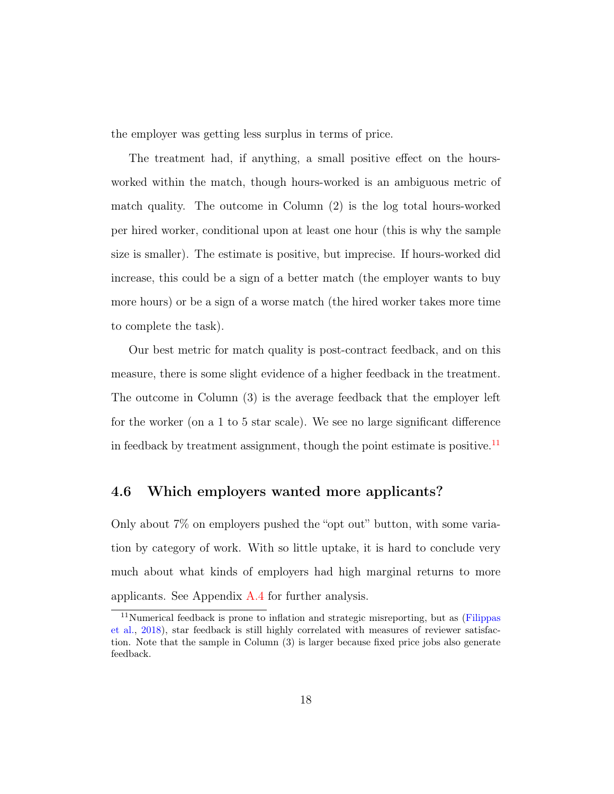the employer was getting less surplus in terms of price.

The treatment had, if anything, a small positive effect on the hoursworked within the match, though hours-worked is an ambiguous metric of match quality. The outcome in Column (2) is the log total hours-worked per hired worker, conditional upon at least one hour (this is why the sample size is smaller). The estimate is positive, but imprecise. If hours-worked did increase, this could be a sign of a better match (the employer wants to buy more hours) or be a sign of a worse match (the hired worker takes more time to complete the task).

Our best metric for match quality is post-contract feedback, and on this measure, there is some slight evidence of a higher feedback in the treatment. The outcome in Column (3) is the average feedback that the employer left for the worker (on a 1 to 5 star scale). We see no large significant difference in feedback by treatment assignment, though the point estimate is positive.<sup>[11](#page-0-0)</sup>

#### 4.6 Which employers wanted more applicants?

Only about 7% on employers pushed the "opt out" button, with some variation by category of work. With so little uptake, it is hard to conclude very much about what kinds of employers had high marginal returns to more applicants. See Appendix [A.4](#page-37-1) for further analysis.

 $11$ Numerical feedback is prone to inflation and strategic misreporting, but as [\(Filippas](#page-30-3) [et al.,](#page-30-3) [2018\)](#page-30-3), star feedback is still highly correlated with measures of reviewer satisfaction. Note that the sample in Column (3) is larger because fixed price jobs also generate feedback.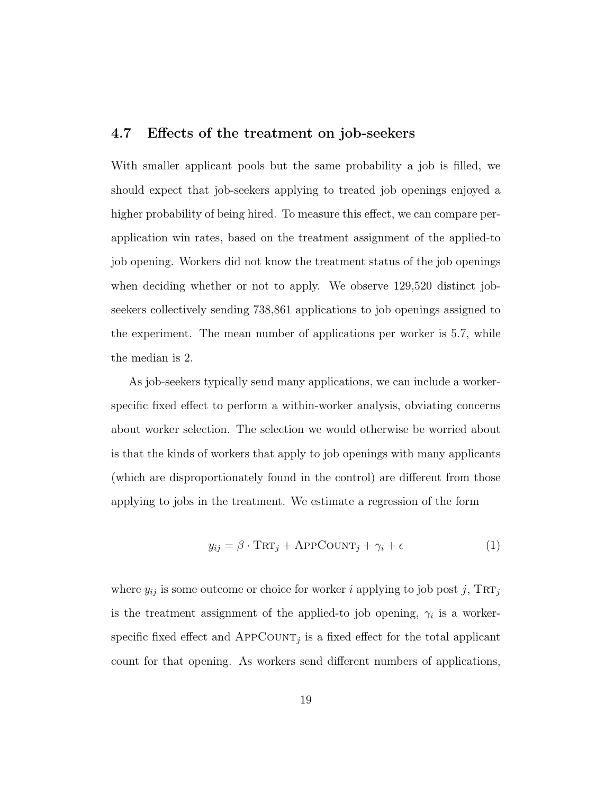#### 4.7 Effects of the treatment on job-seekers

With smaller applicant pools but the same probability a job is filled, we should expect that job-seekers applying to treated job openings enjoyed a higher probability of being hired. To measure this effect, we can compare perapplication win rates, based on the treatment assignment of the applied-to job opening. Workers did not know the treatment status of the job openings when deciding whether or not to apply. We observe 129,520 distinct jobseekers collectively sending 738,861 applications to job openings assigned to the experiment. The mean number of applications per worker is 5.7, while the median is 2.

As job-seekers typically send many applications, we can include a workerspecific fixed effect to perform a within-worker analysis, obviating concerns about worker selection. The selection we would otherwise be worried about is that the kinds of workers that apply to job openings with many applicants (which are disproportionately found in the control) are different from those applying to jobs in the treatment. We estimate a regression of the form

$$
y_{ij} = \beta \cdot \text{TRT}_j + \text{APPCOUNT}_j + \gamma_i + \epsilon \tag{1}
$$

where  $y_{ij}$  is some outcome or choice for worker i applying to job post j,  $TRT_j$ is the treatment assignment of the applied-to job opening,  $\gamma_i$  is a workerspecific fixed effect and  $APPCOUNT_j$  is a fixed effect for the total applicant count for that opening. As workers send different numbers of applications,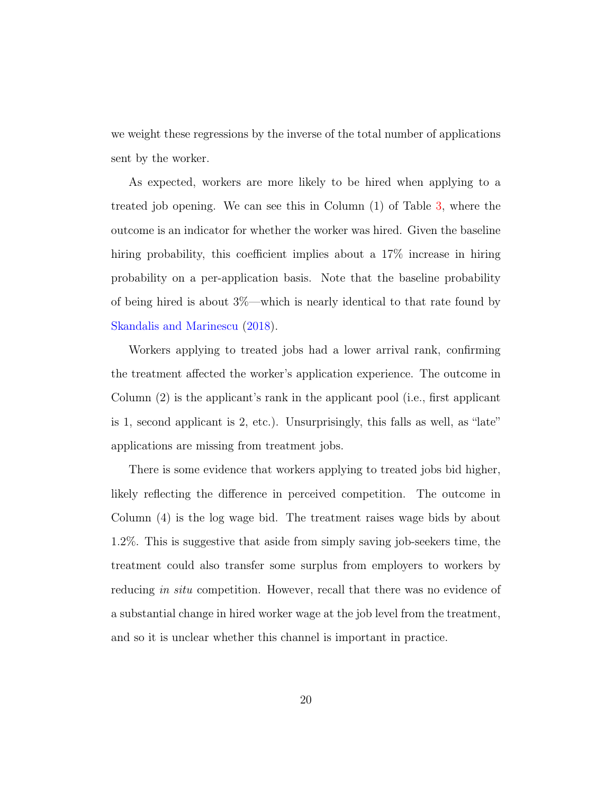we weight these regressions by the inverse of the total number of applications sent by the worker.

As expected, workers are more likely to be hired when applying to a treated job opening. We can see this in Column (1) of Table [3,](#page-20-0) where the outcome is an indicator for whether the worker was hired. Given the baseline hiring probability, this coefficient implies about a 17% increase in hiring probability on a per-application basis. Note that the baseline probability of being hired is about 3%—which is nearly identical to that rate found by [Skandalis and Marinescu](#page-33-5) [\(2018\)](#page-33-5).

Workers applying to treated jobs had a lower arrival rank, confirming the treatment affected the worker's application experience. The outcome in Column (2) is the applicant's rank in the applicant pool (i.e., first applicant is 1, second applicant is 2, etc.). Unsurprisingly, this falls as well, as "late" applications are missing from treatment jobs.

There is some evidence that workers applying to treated jobs bid higher, likely reflecting the difference in perceived competition. The outcome in Column (4) is the log wage bid. The treatment raises wage bids by about 1.2%. This is suggestive that aside from simply saving job-seekers time, the treatment could also transfer some surplus from employers to workers by reducing in situ competition. However, recall that there was no evidence of a substantial change in hired worker wage at the job level from the treatment, and so it is unclear whether this channel is important in practice.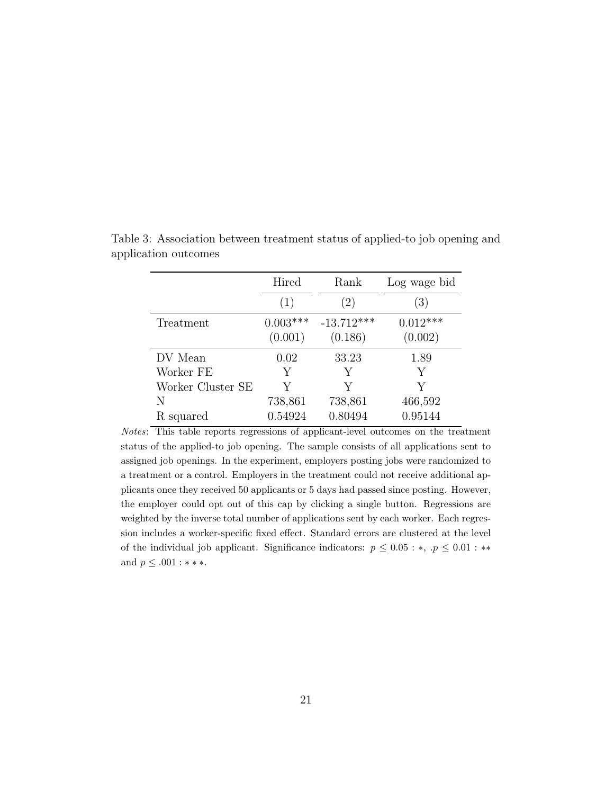|                   | Hired      | Rank         | Log wage bid     |
|-------------------|------------|--------------|------------------|
|                   | (1)        | 2)           | $\left(3\right)$ |
| Treatment         | $0.003***$ | $-13.712***$ | $0.012***$       |
|                   | (0.001)    | (0.186)      | (0.002)          |
| DV Mean           | 0.02       | 33.23        | 1.89             |
| Worker FE         | Y          | Y            | Y                |
| Worker Cluster SE | V          | V            | V                |
| N                 | 738,861    | 738,861      | 466,592          |
| R squared         | 0.54924    | 0.80494      | 0.95144          |

<span id="page-20-0"></span>Table 3: Association between treatment status of applied-to job opening and application outcomes

Notes: This table reports regressions of applicant-level outcomes on the treatment status of the applied-to job opening. The sample consists of all applications sent to assigned job openings. In the experiment, employers posting jobs were randomized to a treatment or a control. Employers in the treatment could not receive additional applicants once they received 50 applicants or 5 days had passed since posting. However, the employer could opt out of this cap by clicking a single button. Regressions are weighted by the inverse total number of applications sent by each worker. Each regression includes a worker-specific fixed effect. Standard errors are clustered at the level of the individual job applicant. Significance indicators:  $p \leq 0.05 : *, p \leq 0.01 : **$ and  $p \leq .001:***$  .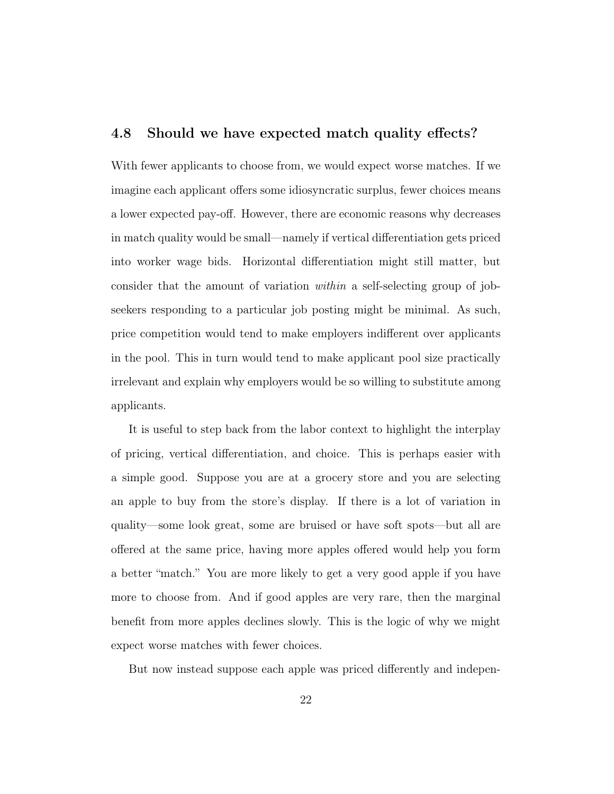#### 4.8 Should we have expected match quality effects?

With fewer applicants to choose from, we would expect worse matches. If we imagine each applicant offers some idiosyncratic surplus, fewer choices means a lower expected pay-off. However, there are economic reasons why decreases in match quality would be small—namely if vertical differentiation gets priced into worker wage bids. Horizontal differentiation might still matter, but consider that the amount of variation within a self-selecting group of jobseekers responding to a particular job posting might be minimal. As such, price competition would tend to make employers indifferent over applicants in the pool. This in turn would tend to make applicant pool size practically irrelevant and explain why employers would be so willing to substitute among applicants.

It is useful to step back from the labor context to highlight the interplay of pricing, vertical differentiation, and choice. This is perhaps easier with a simple good. Suppose you are at a grocery store and you are selecting an apple to buy from the store's display. If there is a lot of variation in quality—some look great, some are bruised or have soft spots—but all are offered at the same price, having more apples offered would help you form a better "match." You are more likely to get a very good apple if you have more to choose from. And if good apples are very rare, then the marginal benefit from more apples declines slowly. This is the logic of why we might expect worse matches with fewer choices.

But now instead suppose each apple was priced differently and indepen-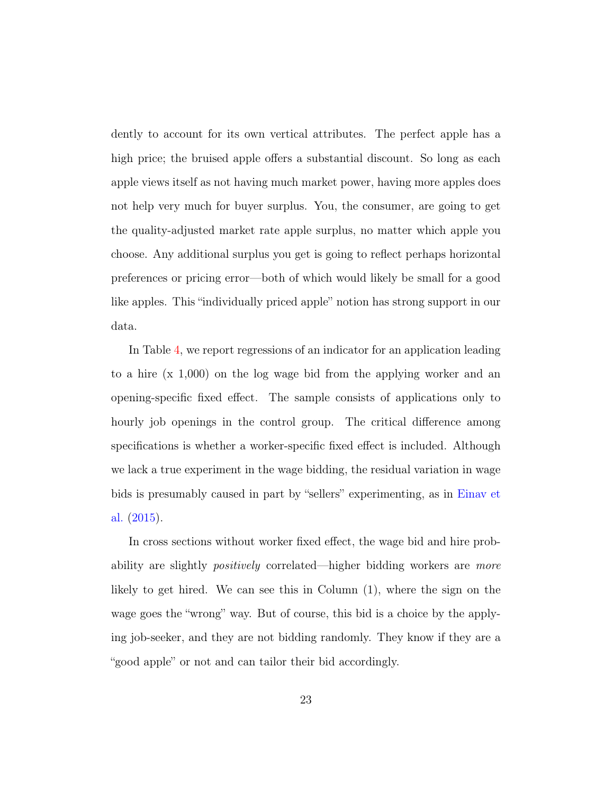dently to account for its own vertical attributes. The perfect apple has a high price; the bruised apple offers a substantial discount. So long as each apple views itself as not having much market power, having more apples does not help very much for buyer surplus. You, the consumer, are going to get the quality-adjusted market rate apple surplus, no matter which apple you choose. Any additional surplus you get is going to reflect perhaps horizontal preferences or pricing error—both of which would likely be small for a good like apples. This "individually priced apple" notion has strong support in our data.

In Table [4,](#page-23-0) we report regressions of an indicator for an application leading to a hire (x 1,000) on the log wage bid from the applying worker and an opening-specific fixed effect. The sample consists of applications only to hourly job openings in the control group. The critical difference among specifications is whether a worker-specific fixed effect is included. Although we lack a true experiment in the wage bidding, the residual variation in wage bids is presumably caused in part by "sellers" experimenting, as in [Einav et](#page-30-4) [al.](#page-30-4) [\(2015\)](#page-30-4).

In cross sections without worker fixed effect, the wage bid and hire probability are slightly *positively* correlated—higher bidding workers are *more* likely to get hired. We can see this in Column (1), where the sign on the wage goes the "wrong" way. But of course, this bid is a choice by the applying job-seeker, and they are not bidding randomly. They know if they are a "good apple" or not and can tailor their bid accordingly.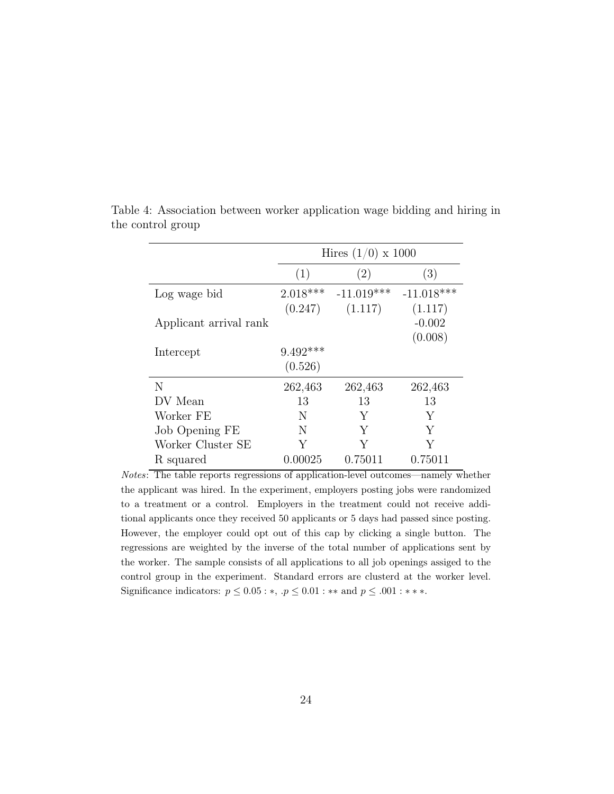|                        | Hires $(1/0) \times 1000$ |              |              |  |  |  |
|------------------------|---------------------------|--------------|--------------|--|--|--|
|                        | (1)                       | (2)          | (3)          |  |  |  |
| Log wage bid           | $2.018***$                | $-11.019***$ | $-11.018***$ |  |  |  |
|                        | (0.247)                   | (1.117)      | (1.117)      |  |  |  |
| Applicant arrival rank |                           |              | $-0.002$     |  |  |  |
|                        |                           |              | (0.008)      |  |  |  |
| Intercept              | $9.492***$                |              |              |  |  |  |
|                        | (0.526)                   |              |              |  |  |  |
| N                      | 262,463                   | 262,463      | 262,463      |  |  |  |
| DV Mean                | 13                        | 13           | 13           |  |  |  |
| Worker FE              | N                         | Y            | Y            |  |  |  |
| Job Opening FE         | N                         | Y            | Y            |  |  |  |
| Worker Cluster SE      | Y                         | Y            | Y            |  |  |  |
| R squared              | 0.00025                   | 0.75011      | 0.75011      |  |  |  |

<span id="page-23-0"></span>Table 4: Association between worker application wage bidding and hiring in the control group

Notes: The table reports regressions of application-level outcomes—namely whether the applicant was hired. In the experiment, employers posting jobs were randomized to a treatment or a control. Employers in the treatment could not receive additional applicants once they received 50 applicants or 5 days had passed since posting. However, the employer could opt out of this cap by clicking a single button. The regressions are weighted by the inverse of the total number of applications sent by the worker. The sample consists of all applications to all job openings assiged to the control group in the experiment. Standard errors are clusterd at the worker level. Significance indicators:  $p \le 0.05 : *, p \le 0.01 : **$  and  $p \le .001 : **$ .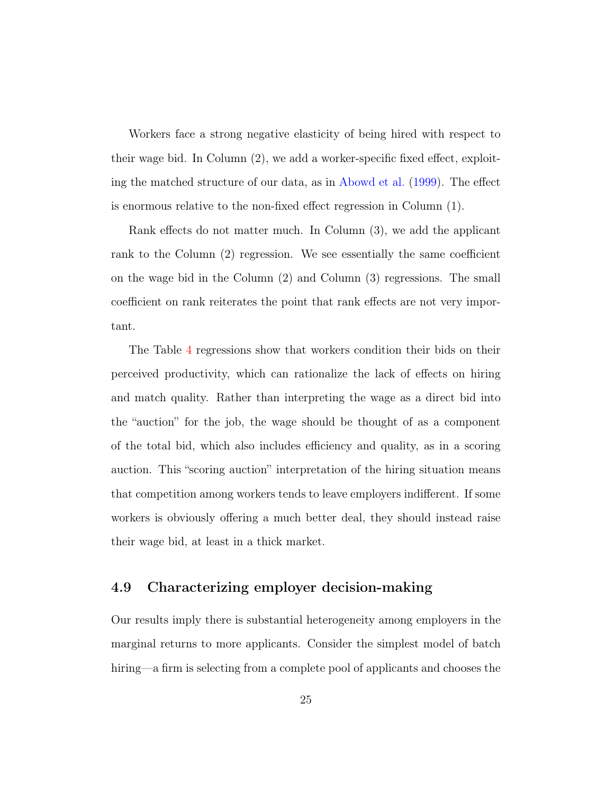Workers face a strong negative elasticity of being hired with respect to their wage bid. In Column (2), we add a worker-specific fixed effect, exploiting the matched structure of our data, as in [Abowd et al.](#page-29-5) [\(1999\)](#page-29-5). The effect is enormous relative to the non-fixed effect regression in Column (1).

Rank effects do not matter much. In Column (3), we add the applicant rank to the Column (2) regression. We see essentially the same coefficient on the wage bid in the Column (2) and Column (3) regressions. The small coefficient on rank reiterates the point that rank effects are not very important.

The Table [4](#page-23-0) regressions show that workers condition their bids on their perceived productivity, which can rationalize the lack of effects on hiring and match quality. Rather than interpreting the wage as a direct bid into the "auction" for the job, the wage should be thought of as a component of the total bid, which also includes efficiency and quality, as in a scoring auction. This "scoring auction" interpretation of the hiring situation means that competition among workers tends to leave employers indifferent. If some workers is obviously offering a much better deal, they should instead raise their wage bid, at least in a thick market.

#### 4.9 Characterizing employer decision-making

Our results imply there is substantial heterogeneity among employers in the marginal returns to more applicants. Consider the simplest model of batch hiring—a firm is selecting from a complete pool of applicants and chooses the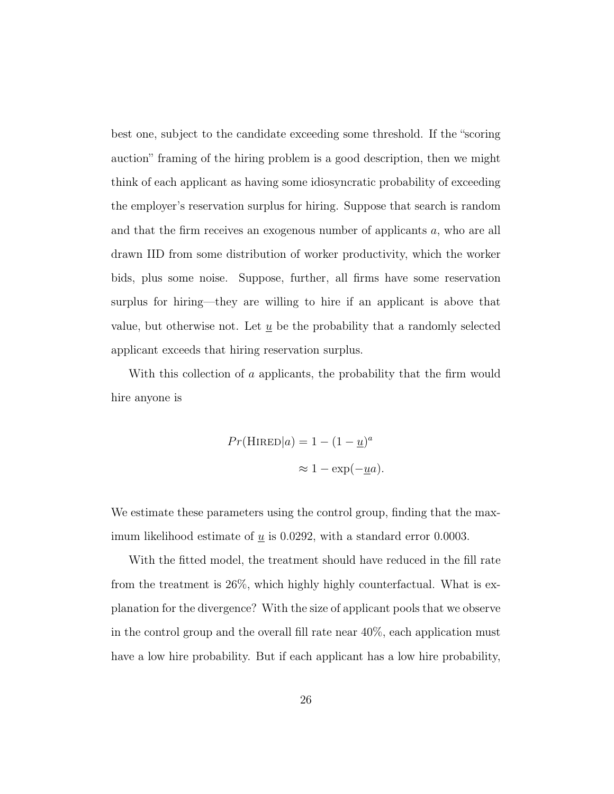best one, subject to the candidate exceeding some threshold. If the "scoring auction" framing of the hiring problem is a good description, then we might think of each applicant as having some idiosyncratic probability of exceeding the employer's reservation surplus for hiring. Suppose that search is random and that the firm receives an exogenous number of applicants a, who are all drawn IID from some distribution of worker productivity, which the worker bids, plus some noise. Suppose, further, all firms have some reservation surplus for hiring—they are willing to hire if an applicant is above that value, but otherwise not. Let  $\underline{u}$  be the probability that a randomly selected applicant exceeds that hiring reservation surplus.

With this collection of a applicants, the probability that the firm would hire anyone is

$$
Pr(\text{HIRED}|a) = 1 - (1 - \underline{u})^a
$$

$$
\approx 1 - \exp(-\underline{u}a).
$$

We estimate these parameters using the control group, finding that the maximum likelihood estimate of  $\underline{u}$  is 0.0292, with a standard error 0.0003.

With the fitted model, the treatment should have reduced in the fill rate from the treatment is 26%, which highly highly counterfactual. What is explanation for the divergence? With the size of applicant pools that we observe in the control group and the overall fill rate near 40%, each application must have a low hire probability. But if each applicant has a low hire probability,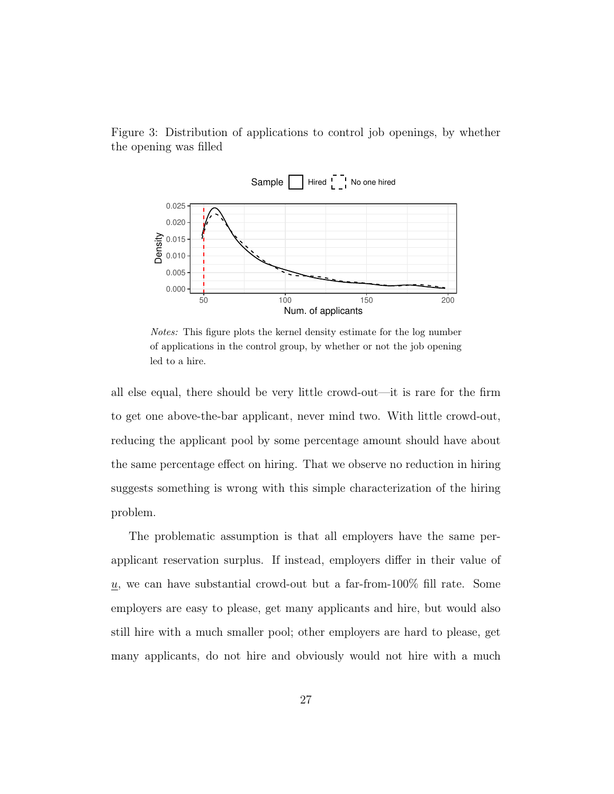<span id="page-26-0"></span>Figure 3: Distribution of applications to control job openings, by whether the opening was filled



Notes: This figure plots the kernel density estimate for the log number of applications in the control group, by whether or not the job opening led to a hire.

all else equal, there should be very little crowd-out—it is rare for the firm to get one above-the-bar applicant, never mind two. With little crowd-out, reducing the applicant pool by some percentage amount should have about the same percentage effect on hiring. That we observe no reduction in hiring suggests something is wrong with this simple characterization of the hiring problem.

The problematic assumption is that all employers have the same perapplicant reservation surplus. If instead, employers differ in their value of u, we can have substantial crowd-out but a far-from-100% fill rate. Some employers are easy to please, get many applicants and hire, but would also still hire with a much smaller pool; other employers are hard to please, get many applicants, do not hire and obviously would not hire with a much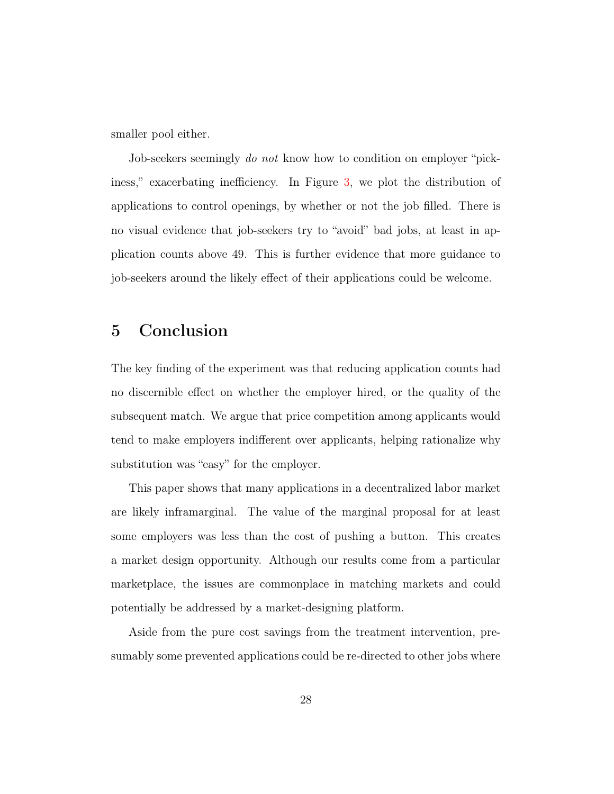smaller pool either.

Job-seekers seemingly *do not* know how to condition on employer "pickiness," exacerbating inefficiency. In Figure [3,](#page-26-0) we plot the distribution of applications to control openings, by whether or not the job filled. There is no visual evidence that job-seekers try to "avoid" bad jobs, at least in application counts above 49. This is further evidence that more guidance to job-seekers around the likely effect of their applications could be welcome.

## <span id="page-27-0"></span>5 Conclusion

The key finding of the experiment was that reducing application counts had no discernible effect on whether the employer hired, or the quality of the subsequent match. We argue that price competition among applicants would tend to make employers indifferent over applicants, helping rationalize why substitution was "easy" for the employer.

This paper shows that many applications in a decentralized labor market are likely inframarginal. The value of the marginal proposal for at least some employers was less than the cost of pushing a button. This creates a market design opportunity. Although our results come from a particular marketplace, the issues are commonplace in matching markets and could potentially be addressed by a market-designing platform.

Aside from the pure cost savings from the treatment intervention, presumably some prevented applications could be re-directed to other jobs where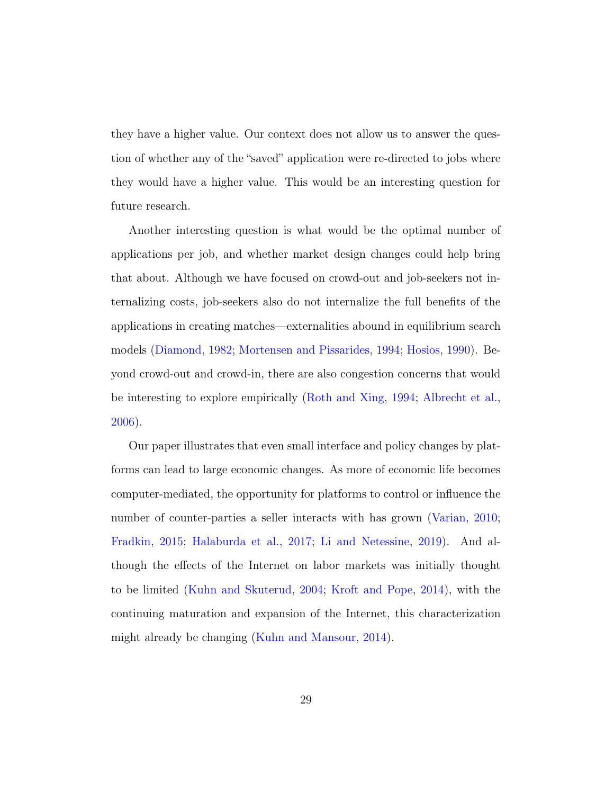they have a higher value. Our context does not allow us to answer the question of whether any of the "saved" application were re-directed to jobs where they would have a higher value. This would be an interesting question for future research.

Another interesting question is what would be the optimal number of applications per job, and whether market design changes could help bring that about. Although we have focused on crowd-out and job-seekers not internalizing costs, job-seekers also do not internalize the full benefits of the applications in creating matches—externalities abound in equilibrium search models [\(Diamond,](#page-30-5) [1982;](#page-30-5) [Mortensen and Pissarides,](#page-32-4) [1994;](#page-32-4) [Hosios,](#page-31-0) [1990\)](#page-31-0). Beyond crowd-out and crowd-in, there are also congestion concerns that would be interesting to explore empirically [\(Roth and Xing,](#page-33-6) [1994;](#page-33-6) [Albrecht et al.,](#page-29-6) [2006\)](#page-29-6).

Our paper illustrates that even small interface and policy changes by platforms can lead to large economic changes. As more of economic life becomes computer-mediated, the opportunity for platforms to control or influence the number of counter-parties a seller interacts with has grown [\(Varian,](#page-33-7) [2010;](#page-33-7) [Fradkin,](#page-30-6) [2015;](#page-30-6) [Halaburda et al.,](#page-31-5) [2017;](#page-31-5) [Li and Netessine,](#page-32-5) [2019\)](#page-32-5). And although the effects of the Internet on labor markets was initially thought to be limited [\(Kuhn and Skuterud,](#page-32-6) [2004;](#page-32-6) [Kroft and Pope,](#page-31-6) [2014\)](#page-31-6), with the continuing maturation and expansion of the Internet, this characterization might already be changing [\(Kuhn and Mansour,](#page-32-7) [2014\)](#page-32-7).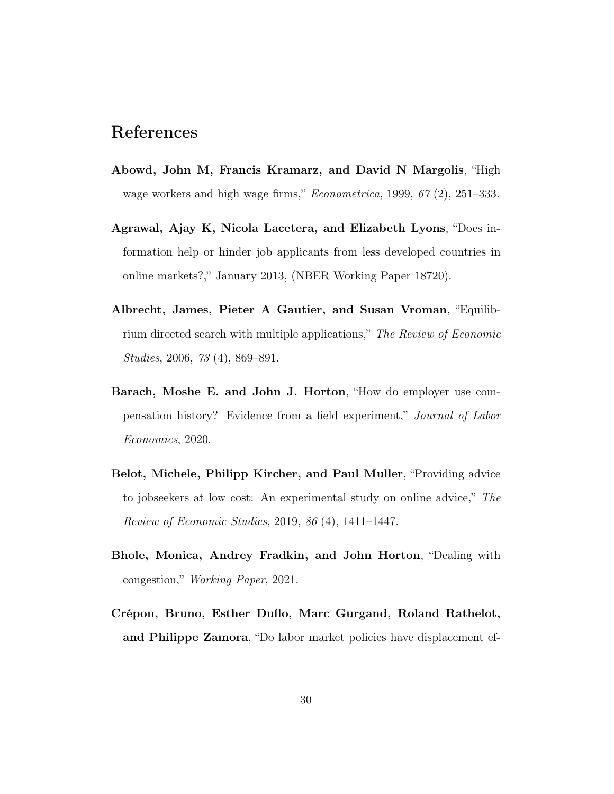## References

- <span id="page-29-5"></span>Abowd, John M, Francis Kramarz, and David N Margolis, "High wage workers and high wage firms," Econometrica, 1999, 67 (2), 251–333.
- <span id="page-29-3"></span>Agrawal, Ajay K, Nicola Lacetera, and Elizabeth Lyons, "Does information help or hinder job applicants from less developed countries in online markets?," January 2013, (NBER Working Paper 18720).
- <span id="page-29-6"></span>Albrecht, James, Pieter A Gautier, and Susan Vroman, "Equilibrium directed search with multiple applications," The Review of Economic Studies, 2006, 73 (4), 869–891.
- <span id="page-29-4"></span>Barach, Moshe E. and John J. Horton, "How do employer use compensation history? Evidence from a field experiment," Journal of Labor Economics, 2020.
- <span id="page-29-2"></span>Belot, Michele, Philipp Kircher, and Paul Muller, "Providing advice to jobseekers at low cost: An experimental study on online advice," The Review of Economic Studies, 2019, 86 (4), 1411–1447.
- <span id="page-29-0"></span>Bhole, Monica, Andrey Fradkin, and John Horton, "Dealing with congestion," Working Paper, 2021.
- <span id="page-29-1"></span>Crépon, Bruno, Esther Duflo, Marc Gurgand, Roland Rathelot, and Philippe Zamora, "Do labor market policies have displacement ef-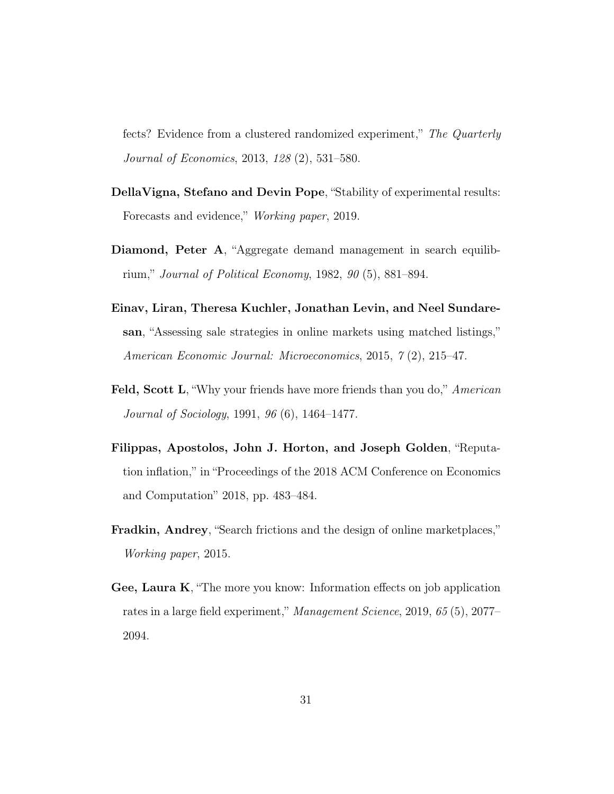fects? Evidence from a clustered randomized experiment," The Quarterly Journal of Economics, 2013, 128 (2), 531–580.

- <span id="page-30-2"></span>DellaVigna, Stefano and Devin Pope, "Stability of experimental results: Forecasts and evidence," Working paper, 2019.
- <span id="page-30-5"></span>Diamond, Peter A, "Aggregate demand management in search equilibrium," Journal of Political Economy, 1982, 90 (5), 881–894.
- <span id="page-30-4"></span>Einav, Liran, Theresa Kuchler, Jonathan Levin, and Neel Sundaresan, "Assessing sale strategies in online markets using matched listings," American Economic Journal: Microeconomics, 2015, 7 (2), 215–47.
- <span id="page-30-0"></span>Feld, Scott L, "Why your friends have more friends than you do," American Journal of Sociology, 1991, 96 (6), 1464–1477.
- <span id="page-30-3"></span>Filippas, Apostolos, John J. Horton, and Joseph Golden, "Reputation inflation," in "Proceedings of the 2018 ACM Conference on Economics and Computation" 2018, pp. 483–484.
- <span id="page-30-6"></span>Fradkin, Andrey, "Search frictions and the design of online marketplaces," Working paper, 2015.
- <span id="page-30-1"></span>Gee, Laura K, "The more you know: Information effects on job application rates in a large field experiment," Management Science, 2019, 65 (5), 2077– 2094.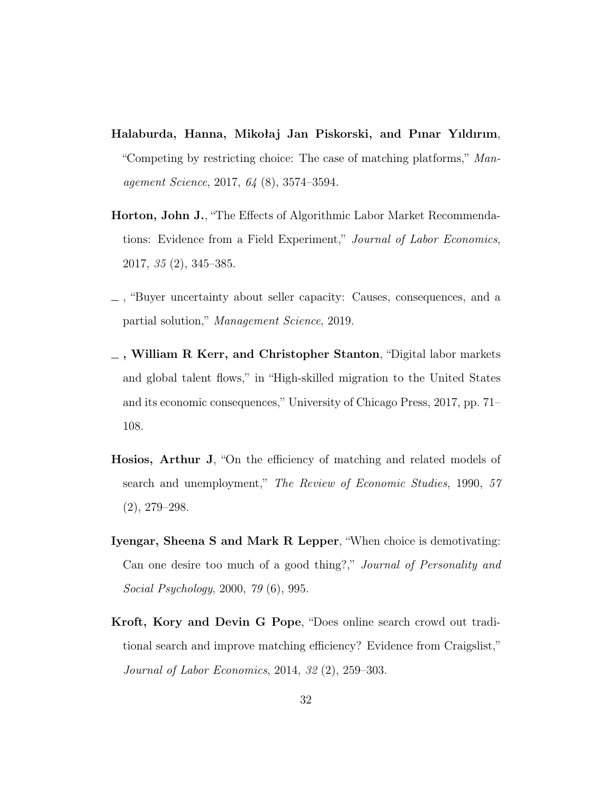- <span id="page-31-5"></span>Halaburda, Hanna, Mikołaj Jan Piskorski, and Pınar Yıldırım, "Competing by restricting choice: The case of matching platforms," Management Science, 2017, 64 (8), 3574–3594.
- <span id="page-31-1"></span>Horton, John J., "The Effects of Algorithmic Labor Market Recommendations: Evidence from a Field Experiment," Journal of Labor Economics, 2017, 35 (2), 345–385.
- <span id="page-31-2"></span>, "Buyer uncertainty about seller capacity: Causes, consequences, and a partial solution," Management Science, 2019.
- <span id="page-31-4"></span> $\overline{\phantom{a}}$ , William R Kerr, and Christopher Stanton, "Digital labor markets and global talent flows," in "High-skilled migration to the United States and its economic consequences," University of Chicago Press, 2017, pp. 71– 108.
- <span id="page-31-0"></span>Hosios, Arthur J, "On the efficiency of matching and related models of search and unemployment," The Review of Economic Studies, 1990, 57 (2), 279–298.
- <span id="page-31-3"></span>Iyengar, Sheena S and Mark R Lepper, "When choice is demotivating: Can one desire too much of a good thing?," Journal of Personality and Social Psychology, 2000, 79 (6), 995.
- <span id="page-31-6"></span>Kroft, Kory and Devin G Pope, "Does online search crowd out traditional search and improve matching efficiency? Evidence from Craigslist," Journal of Labor Economics, 2014, 32 (2), 259–303.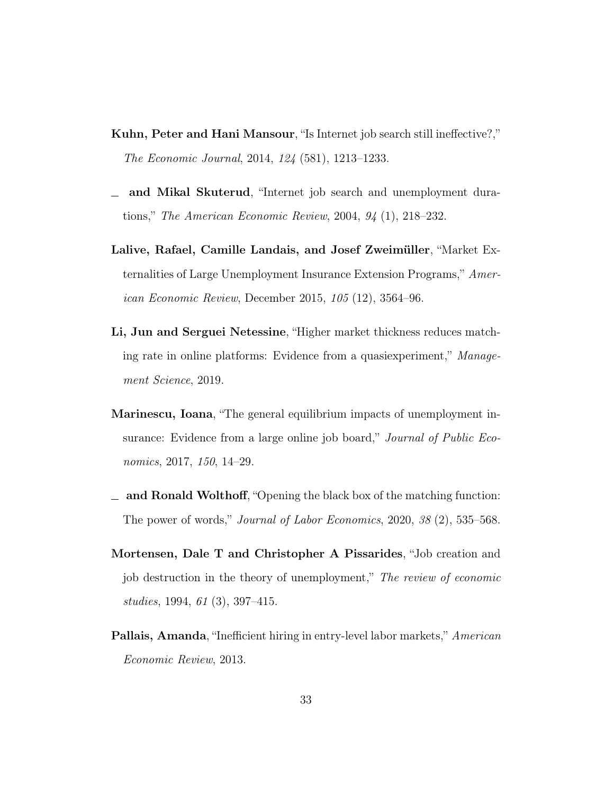- <span id="page-32-7"></span>Kuhn, Peter and Hani Mansour, "Is Internet job search still ineffective?," The Economic Journal, 2014, 124 (581), 1213–1233.
- <span id="page-32-6"></span>and Mikal Skuterud, "Internet job search and unemployment dura- $\overline{\phantom{0}}$ tions," The American Economic Review, 2004, 94 (1), 218–232.
- <span id="page-32-0"></span>Lalive, Rafael, Camille Landais, and Josef Zweimüller, "Market Externalities of Large Unemployment Insurance Extension Programs," American Economic Review, December 2015, 105 (12), 3564–96.
- <span id="page-32-5"></span>Li, Jun and Serguei Netessine, "Higher market thickness reduces matching rate in online platforms: Evidence from a quasiexperiment," Management Science, 2019.
- <span id="page-32-1"></span>Marinescu, Ioana, "The general equilibrium impacts of unemployment insurance: Evidence from a large online job board," Journal of Public Economics, 2017, 150, 14–29.
- <span id="page-32-3"></span> $\Box$  and Ronald Wolthoff, "Opening the black box of the matching function: The power of words," Journal of Labor Economics, 2020, 38 (2), 535–568.
- <span id="page-32-4"></span>Mortensen, Dale T and Christopher A Pissarides, "Job creation and job destruction in the theory of unemployment," The review of economic studies, 1994, 61 (3), 397–415.
- <span id="page-32-2"></span>Pallais, Amanda, "Inefficient hiring in entry-level labor markets," American Economic Review, 2013.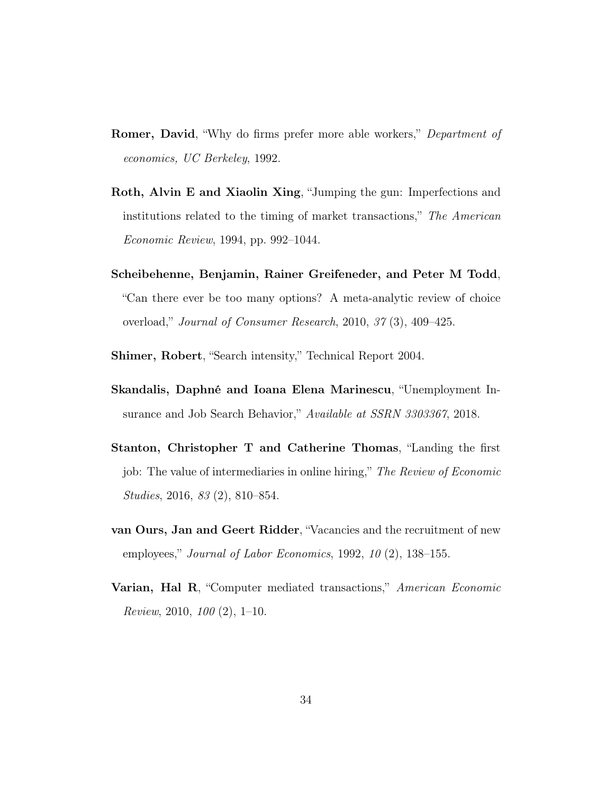- <span id="page-33-0"></span>**Romer, David, "Why do firms prefer more able workers,"** Department of economics, UC Berkeley, 1992.
- <span id="page-33-6"></span>Roth, Alvin E and Xiaolin Xing, "Jumping the gun: Imperfections and institutions related to the timing of market transactions," The American Economic Review, 1994, pp. 992–1044.
- <span id="page-33-2"></span>Scheibehenne, Benjamin, Rainer Greifeneder, and Peter M Todd, "Can there ever be too many options? A meta-analytic review of choice overload," Journal of Consumer Research, 2010, 37 (3), 409–425.
- <span id="page-33-1"></span>Shimer, Robert, "Search intensity," Technical Report 2004.
- <span id="page-33-5"></span>Skandalis, Daphné and Ioana Elena Marinescu, "Unemployment Insurance and Job Search Behavior," Available at SSRN 3303367, 2018.
- <span id="page-33-4"></span>Stanton, Christopher T and Catherine Thomas, "Landing the first job: The value of intermediaries in online hiring," The Review of Economic Studies, 2016, 83 (2), 810–854.
- <span id="page-33-3"></span>van Ours, Jan and Geert Ridder, "Vacancies and the recruitment of new employees," Journal of Labor Economics, 1992,  $10(2)$ , 138–155.
- <span id="page-33-7"></span>Varian, Hal R, "Computer mediated transactions," American Economic Review, 2010, 100 (2), 1–10.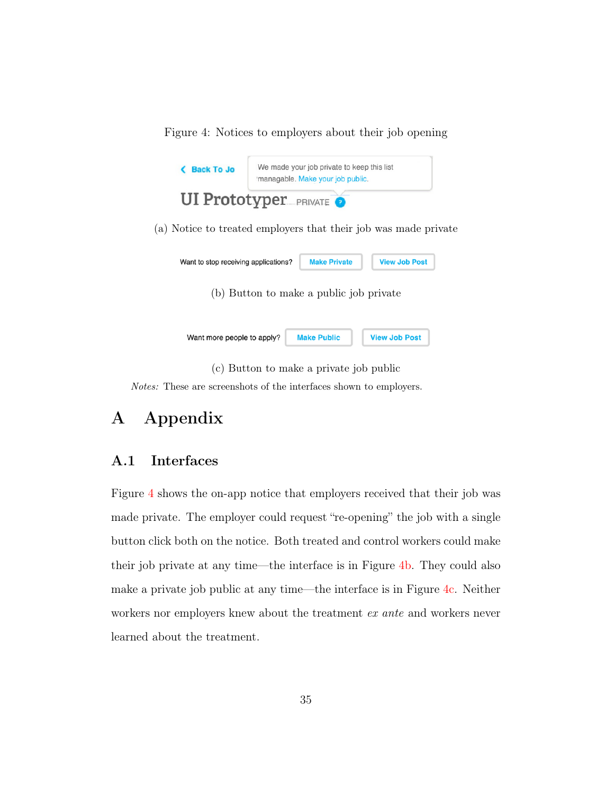Figure 4: Notices to employers about their job opening

<span id="page-34-1"></span>

Notes: These are screenshots of the interfaces shown to employers.

## A Appendix

## <span id="page-34-0"></span>A.1 Interfaces

Figure [4](#page-34-1) shows the on-app notice that employers received that their job was made private. The employer could request "re-opening" the job with a single button click both on the notice. Both treated and control workers could make their job private at any time—the interface is in Figure [4b.](#page-34-1) They could also make a private job public at any time—the interface is in Figure [4c.](#page-34-1) Neither workers nor employers knew about the treatment ex ante and workers never learned about the treatment.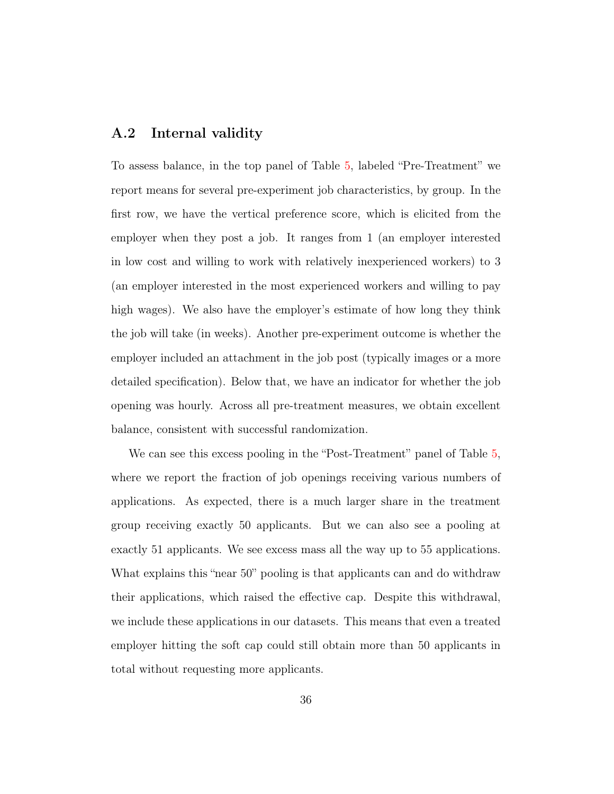#### <span id="page-35-0"></span>A.2 Internal validity

To assess balance, in the top panel of Table [5,](#page-36-0) labeled "Pre-Treatment" we report means for several pre-experiment job characteristics, by group. In the first row, we have the vertical preference score, which is elicited from the employer when they post a job. It ranges from 1 (an employer interested in low cost and willing to work with relatively inexperienced workers) to 3 (an employer interested in the most experienced workers and willing to pay high wages). We also have the employer's estimate of how long they think the job will take (in weeks). Another pre-experiment outcome is whether the employer included an attachment in the job post (typically images or a more detailed specification). Below that, we have an indicator for whether the job opening was hourly. Across all pre-treatment measures, we obtain excellent balance, consistent with successful randomization.

We can see this excess pooling in the "Post-Treatment" panel of Table [5,](#page-36-0) where we report the fraction of job openings receiving various numbers of applications. As expected, there is a much larger share in the treatment group receiving exactly 50 applicants. But we can also see a pooling at exactly 51 applicants. We see excess mass all the way up to 55 applications. What explains this "near 50" pooling is that applicants can and do withdraw their applications, which raised the effective cap. Despite this withdrawal, we include these applications in our datasets. This means that even a treated employer hitting the soft cap could still obtain more than 50 applicants in total without requesting more applicants.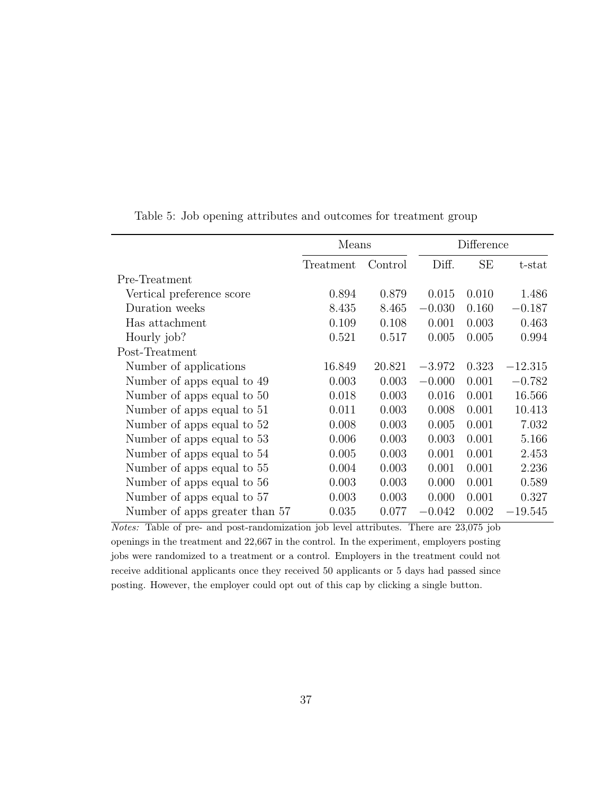|                                | Means     | Difference |          |           |           |
|--------------------------------|-----------|------------|----------|-----------|-----------|
|                                | Treatment | Control    | Diff.    | <b>SE</b> | $t$ -stat |
| Pre-Treatment                  |           |            |          |           |           |
| Vertical preference score      | 0.894     | 0.879      | 0.015    | 0.010     | 1.486     |
| Duration weeks                 | 8.435     | 8.465      | $-0.030$ | 0.160     | $-0.187$  |
| Has attachment                 | 0.109     | 0.108      | 0.001    | 0.003     | 0.463     |
| Hourly job?                    | 0.521     | 0.517      | 0.005    | 0.005     | 0.994     |
| Post-Treatment                 |           |            |          |           |           |
| Number of applications         | 16.849    | 20.821     | $-3.972$ | 0.323     | $-12.315$ |
| Number of apps equal to 49     | 0.003     | 0.003      | $-0.000$ | 0.001     | $-0.782$  |
| Number of apps equal to 50     | 0.018     | 0.003      | 0.016    | 0.001     | 16.566    |
| Number of apps equal to 51     | 0.011     | 0.003      | 0.008    | 0.001     | 10.413    |
| Number of apps equal to 52     | 0.008     | 0.003      | 0.005    | 0.001     | 7.032     |
| Number of apps equal to 53     | 0.006     | 0.003      | 0.003    | 0.001     | 5.166     |
| Number of apps equal to 54     | 0.005     | 0.003      | 0.001    | 0.001     | 2.453     |
| Number of apps equal to 55     | 0.004     | 0.003      | 0.001    | 0.001     | 2.236     |
| Number of apps equal to 56     | 0.003     | 0.003      | 0.000    | 0.001     | 0.589     |
| Number of apps equal to 57     | 0.003     | 0.003      | 0.000    | 0.001     | 0.327     |
| Number of apps greater than 57 | 0.035     | 0.077      | $-0.042$ | 0.002     | $-19.545$ |

<span id="page-36-0"></span>Table 5: Job opening attributes and outcomes for treatment group

Notes: Table of pre- and post-randomization job level attributes. There are 23,075 job openings in the treatment and 22,667 in the control. In the experiment, employers posting jobs were randomized to a treatment or a control. Employers in the treatment could not receive additional applicants once they received 50 applicants or 5 days had passed since posting. However, the employer could opt out of this cap by clicking a single button.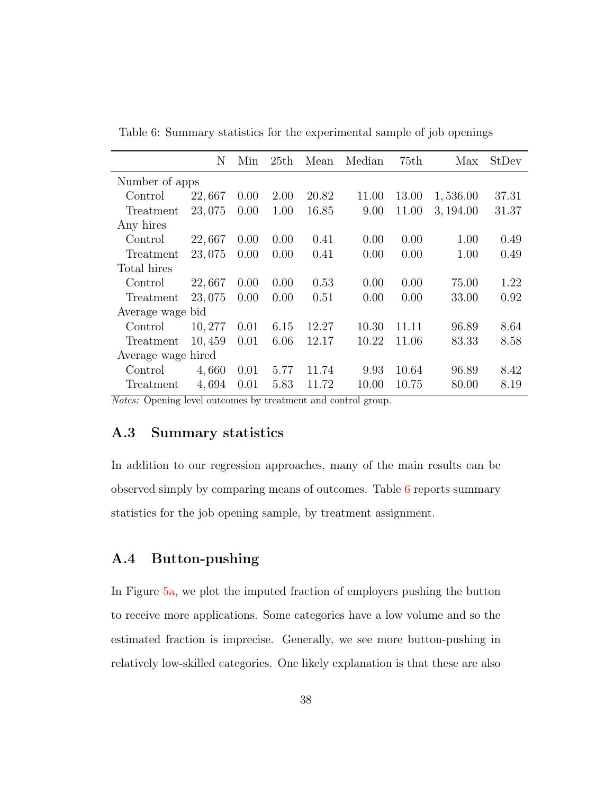|                    | N      | Min  | 25th | Mean  | Median | 75th  | Max       | StDev |
|--------------------|--------|------|------|-------|--------|-------|-----------|-------|
| Number of apps     |        |      |      |       |        |       |           |       |
| Control            | 22,667 | 0.00 | 2.00 | 20.82 | 11.00  | 13.00 | 1,536.00  | 37.31 |
| Treatment          | 23,075 | 0.00 | 1.00 | 16.85 | 9.00   | 11.00 | 3, 194.00 | 31.37 |
| Any hires          |        |      |      |       |        |       |           |       |
| Control            | 22,667 | 0.00 | 0.00 | 0.41  | 0.00   | 0.00  | 1.00      | 0.49  |
| Treatment          | 23,075 | 0.00 | 0.00 | 0.41  | 0.00   | 0.00  | 1.00      | 0.49  |
| Total hires        |        |      |      |       |        |       |           |       |
| Control            | 22,667 | 0.00 | 0.00 | 0.53  | 0.00   | 0.00  | 75.00     | 1.22  |
| Treatment          | 23,075 | 0.00 | 0.00 | 0.51  | 0.00   | 0.00  | 33.00     | 0.92  |
| Average wage bid   |        |      |      |       |        |       |           |       |
| Control            | 10,277 | 0.01 | 6.15 | 12.27 | 10.30  | 11.11 | 96.89     | 8.64  |
| Treatment          | 10,459 | 0.01 | 6.06 | 12.17 | 10.22  | 11.06 | 83.33     | 8.58  |
| Average wage hired |        |      |      |       |        |       |           |       |
| Control            | 4,660  | 0.01 | 5.77 | 11.74 | 9.93   | 10.64 | 96.89     | 8.42  |
| Treatment          | 4,694  | 0.01 | 5.83 | 11.72 | 10.00  | 10.75 | 80.00     | 8.19  |

<span id="page-37-2"></span>Table 6: Summary statistics for the experimental sample of job openings

Notes: Opening level outcomes by treatment and control group.

### <span id="page-37-0"></span>A.3 Summary statistics

In addition to our regression approaches, many of the main results can be observed simply by comparing means of outcomes. Table [6](#page-37-2) reports summary statistics for the job opening sample, by treatment assignment.

### <span id="page-37-1"></span>A.4 Button-pushing

In Figure [5a,](#page-39-0) we plot the imputed fraction of employers pushing the button to receive more applications. Some categories have a low volume and so the estimated fraction is imprecise. Generally, we see more button-pushing in relatively low-skilled categories. One likely explanation is that these are also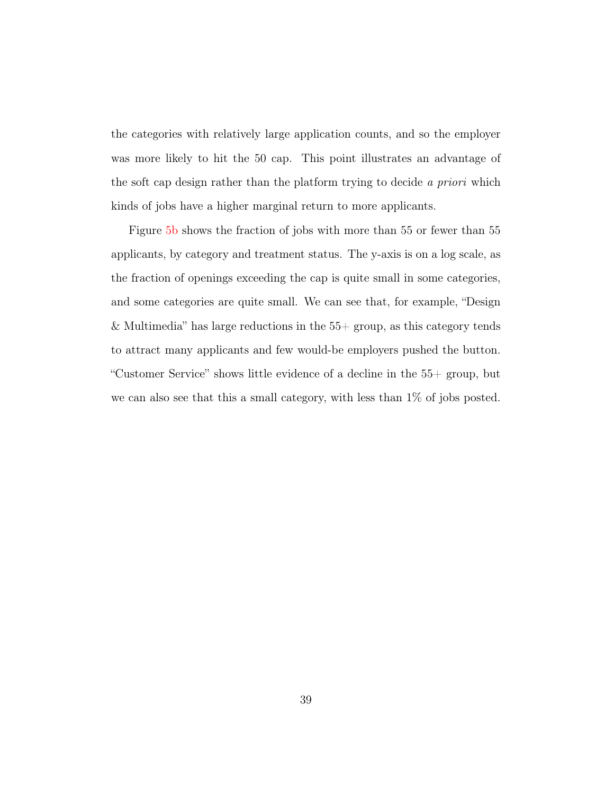the categories with relatively large application counts, and so the employer was more likely to hit the 50 cap. This point illustrates an advantage of the soft cap design rather than the platform trying to decide a priori which kinds of jobs have a higher marginal return to more applicants.

Figure [5b](#page-39-0) shows the fraction of jobs with more than 55 or fewer than 55 applicants, by category and treatment status. The y-axis is on a log scale, as the fraction of openings exceeding the cap is quite small in some categories, and some categories are quite small. We can see that, for example, "Design & Multimedia" has large reductions in the  $55+$  group, as this category tends to attract many applicants and few would-be employers pushed the button. "Customer Service" shows little evidence of a decline in the 55+ group, but we can also see that this a small category, with less than 1% of jobs posted.